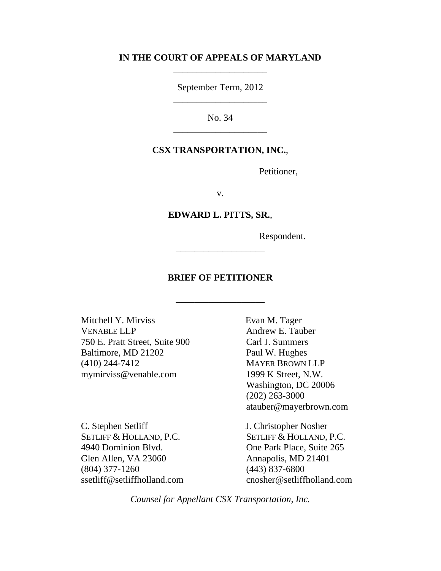### **IN THE COURT OF APPEALS OF MARYLAND** \_\_\_\_\_\_\_\_\_\_\_\_\_\_\_\_\_\_\_\_

September Term, 2012 \_\_\_\_\_\_\_\_\_\_\_\_\_\_\_\_\_\_\_\_

No. 34 \_\_\_\_\_\_\_\_\_\_\_\_\_\_\_\_\_\_\_\_

#### **CSX TRANSPORTATION, INC.**,

Petitioner,

v.

#### **EDWARD L. PITTS, SR.**,

Respondent.

### **BRIEF OF PETITIONER**

\_\_\_\_\_\_\_\_\_\_\_\_\_\_\_\_\_\_\_

\_\_\_\_\_\_\_\_\_\_\_\_\_\_\_\_\_\_\_

Mitchell Y. Mirviss VENABLE LLP 750 E. Pratt Street, Suite 900 Baltimore, MD 21202 (410) 244-7412 mymirviss@venable.com

C. Stephen Setliff SETLIFF & HOLLAND, P.C. 4940 Dominion Blvd. Glen Allen, VA 23060 (804) 377-1260 ssetliff@setliffholland.com Evan M. Tager Andrew E. Tauber Carl J. Summers Paul W. Hughes MAYER BROWN LLP 1999 K Street, N.W. Washington, DC 20006 (202) 263-3000 atauber@mayerbrown.com

J. Christopher Nosher SETLIFF & HOLLAND, P.C. One Park Place, Suite 265 Annapolis, MD 21401 (443) 837-6800 cnosher@setliffholland.com

*Counsel for Appellant CSX Transportation, Inc.*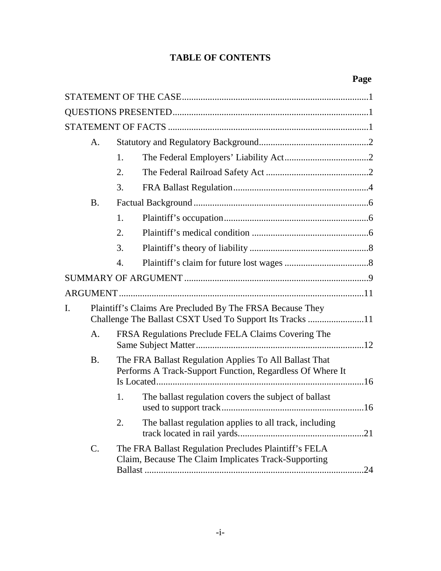## **TABLE OF CONTENTS**

|    | A.        |                  |                                                                                                                       |  |
|----|-----------|------------------|-----------------------------------------------------------------------------------------------------------------------|--|
|    |           | 1.               |                                                                                                                       |  |
|    |           | 2.               |                                                                                                                       |  |
|    |           | 3.               |                                                                                                                       |  |
|    | <b>B.</b> |                  |                                                                                                                       |  |
|    |           | 1.               |                                                                                                                       |  |
|    |           | 2.               |                                                                                                                       |  |
|    |           | 3.               |                                                                                                                       |  |
|    |           | $\overline{4}$ . |                                                                                                                       |  |
|    |           |                  |                                                                                                                       |  |
|    |           |                  |                                                                                                                       |  |
| I. |           |                  | Plaintiff's Claims Are Precluded By The FRSA Because They<br>Challenge The Ballast CSXT Used To Support Its Tracks 11 |  |
|    | A.        |                  | FRSA Regulations Preclude FELA Claims Covering The                                                                    |  |
|    | <b>B.</b> |                  | The FRA Ballast Regulation Applies To All Ballast That<br>Performs A Track-Support Function, Regardless Of Where It   |  |
|    |           | 1.               | The ballast regulation covers the subject of ballast                                                                  |  |
|    |           | 2.               | The ballast regulation applies to all track, including                                                                |  |
|    | C.        |                  | The FRA Ballast Regulation Precludes Plaintiff's FELA<br>Claim, Because The Claim Implicates Track-Supporting         |  |
|    |           |                  |                                                                                                                       |  |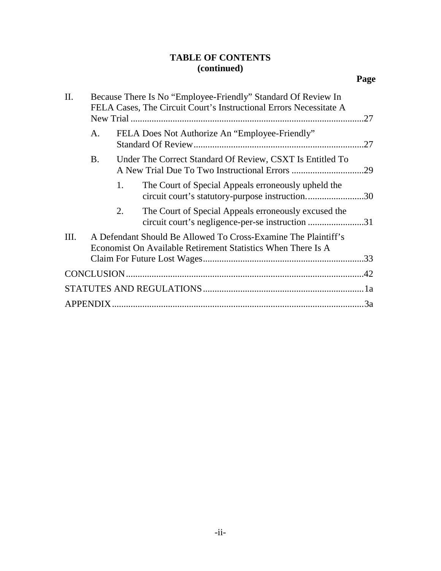## **TABLE OF CONTENTS (continued)**

| II.  | Because There Is No "Employee-Friendly" Standard Of Review In<br>FELA Cases, The Circuit Court's Instructional Errors Necessitate A |    |                                                                                                                                | .27 |
|------|-------------------------------------------------------------------------------------------------------------------------------------|----|--------------------------------------------------------------------------------------------------------------------------------|-----|
|      | А.                                                                                                                                  |    | FELA Does Not Authorize An "Employee-Friendly"                                                                                 | .27 |
|      | <b>B.</b>                                                                                                                           |    | Under The Correct Standard Of Review, CSXT Is Entitled To                                                                      | .29 |
|      |                                                                                                                                     | 1. | The Court of Special Appeals erroneously upheld the<br>circuit court's statutory-purpose instruction30                         |     |
|      |                                                                                                                                     | 2. | The Court of Special Appeals erroneously excused the<br>circuit court's negligence-per-se instruction 31                       |     |
| III. |                                                                                                                                     |    | A Defendant Should Be Allowed To Cross-Examine The Plaintiff's<br>Economist On Available Retirement Statistics When There Is A |     |
|      |                                                                                                                                     |    |                                                                                                                                |     |
|      |                                                                                                                                     |    |                                                                                                                                |     |
|      |                                                                                                                                     |    |                                                                                                                                |     |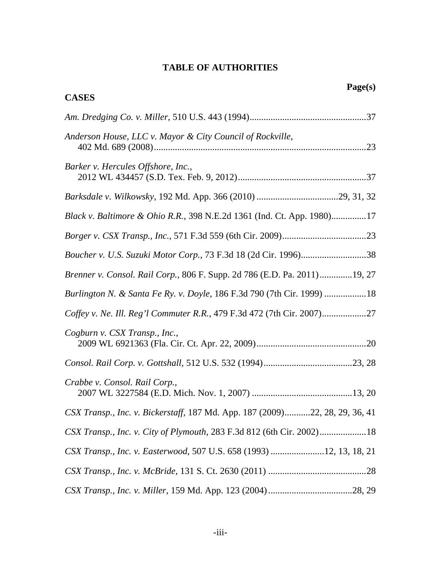## **TABLE OF AUTHORITIES**

| Page(s)<br><b>CASES</b>                                                     |  |
|-----------------------------------------------------------------------------|--|
|                                                                             |  |
| Anderson House, LLC v. Mayor & City Council of Rockville,                   |  |
| Barker v. Hercules Offshore, Inc.,                                          |  |
|                                                                             |  |
| Black v. Baltimore & Ohio R.R., 398 N.E.2d 1361 (Ind. Ct. App. 1980)17      |  |
|                                                                             |  |
| Boucher v. U.S. Suzuki Motor Corp., 73 F.3d 18 (2d Cir. 1996)38             |  |
| Brenner v. Consol. Rail Corp., 806 F. Supp. 2d 786 (E.D. Pa. 2011)19, 27    |  |
| Burlington N. & Santa Fe Ry. v. Doyle, 186 F.3d 790 (7th Cir. 1999) 18      |  |
| Coffey v. Ne. Ill. Reg'l Commuter R.R., 479 F.3d 472 (7th Cir. 2007)        |  |
| Cogburn v. CSX Transp., Inc.,                                               |  |
|                                                                             |  |
| Crabbe v. Consol. Rail Corp.,                                               |  |
| CSX Transp., Inc. v. Bickerstaff, 187 Md. App. 187 (2009)22, 28, 29, 36, 41 |  |
| CSX Transp., Inc. v. City of Plymouth, 283 F.3d 812 (6th Cir. 2002)18       |  |
| CSX Transp., Inc. v. Easterwood, 507 U.S. 658 (1993) 12, 13, 18, 21         |  |
|                                                                             |  |
|                                                                             |  |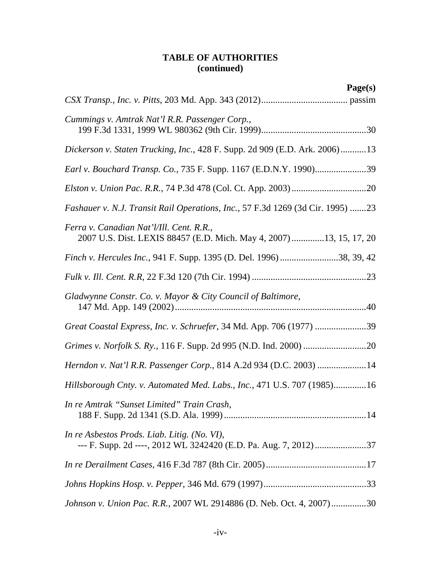| Page(s)                                                                                                          |
|------------------------------------------------------------------------------------------------------------------|
|                                                                                                                  |
| Cummings v. Amtrak Nat'l R.R. Passenger Corp.,                                                                   |
| Dickerson v. Staten Trucking, Inc., 428 F. Supp. 2d 909 (E.D. Ark. 2006)13                                       |
| Earl v. Bouchard Transp. Co., 735 F. Supp. 1167 (E.D.N.Y. 1990)39                                                |
|                                                                                                                  |
| Fashauer v. N.J. Transit Rail Operations, Inc., 57 F.3d 1269 (3d Cir. 1995) 23                                   |
| Ferra v. Canadian Nat'l/Ill. Cent. R.R.,<br>2007 U.S. Dist. LEXIS 88457 (E.D. Mich. May 4, 2007) 13, 15, 17, 20  |
| Finch v. Hercules Inc., 941 F. Supp. 1395 (D. Del. 1996) 38, 39, 42                                              |
|                                                                                                                  |
| Gladwynne Constr. Co. v. Mayor & City Council of Baltimore,                                                      |
| Great Coastal Express, Inc. v. Schruefer, 34 Md. App. 706 (1977) 39                                              |
|                                                                                                                  |
| Herndon v. Nat'l R.R. Passenger Corp., 814 A.2d 934 (D.C. 2003) 14                                               |
| Hillsborough Cnty. v. Automated Med. Labs., Inc., 471 U.S. 707 (1985)16                                          |
| In re Amtrak "Sunset Limited" Train Crash,                                                                       |
| In re Asbestos Prods. Liab. Litig. (No. VI),<br>--- F. Supp. 2d ----, 2012 WL 3242420 (E.D. Pa. Aug. 7, 2012) 37 |
|                                                                                                                  |
|                                                                                                                  |
| Johnson v. Union Pac. R.R., 2007 WL 2914886 (D. Neb. Oct. 4, 2007)30                                             |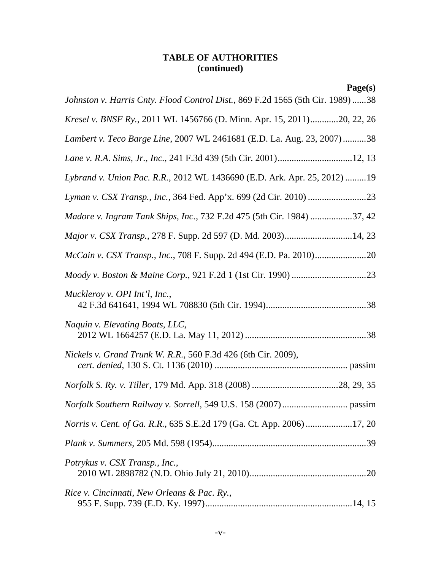| Page(s)                                                                        |  |
|--------------------------------------------------------------------------------|--|
| Johnston v. Harris Cnty. Flood Control Dist., 869 F.2d 1565 (5th Cir. 1989) 38 |  |
| Kresel v. BNSF Ry., 2011 WL 1456766 (D. Minn. Apr. 15, 2011)20, 22, 26         |  |
| Lambert v. Teco Barge Line, 2007 WL 2461681 (E.D. La. Aug. 23, 2007)38         |  |
|                                                                                |  |
| Lybrand v. Union Pac. R.R., 2012 WL 1436690 (E.D. Ark. Apr. 25, 2012) 19       |  |
|                                                                                |  |
| Madore v. Ingram Tank Ships, Inc., 732 F.2d 475 (5th Cir. 1984) 37, 42         |  |
| Major v. CSX Transp., 278 F. Supp. 2d 597 (D. Md. 2003)14, 23                  |  |
|                                                                                |  |
|                                                                                |  |
| Muckleroy v. OPI Int'l, Inc.,                                                  |  |
| Naquin v. Elevating Boats, LLC,                                                |  |
| Nickels v. Grand Trunk W. R.R., 560 F.3d 426 (6th Cir. 2009),                  |  |
|                                                                                |  |
|                                                                                |  |
| Norris v. Cent. of Ga. R.R., 635 S.E.2d 179 (Ga. Ct. App. 2006) 17, 20         |  |
|                                                                                |  |
| Potrykus v. CSX Transp., Inc.,                                                 |  |
| Rice v. Cincinnati, New Orleans & Pac. Ry.,                                    |  |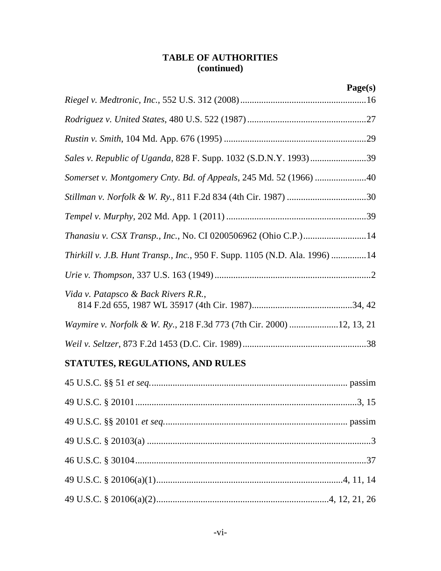|                                                                            | Page(s) |
|----------------------------------------------------------------------------|---------|
|                                                                            |         |
|                                                                            |         |
|                                                                            |         |
| Sales v. Republic of Uganda, 828 F. Supp. 1032 (S.D.N.Y. 1993)39           |         |
| Somerset v. Montgomery Cnty. Bd. of Appeals, 245 Md. 52 (1966) 40          |         |
| Stillman v. Norfolk & W. Ry., 811 F.2d 834 (4th Cir. 1987) 30              |         |
|                                                                            |         |
| <i>Thanasiu v. CSX Transp., Inc., No. CI 0200506962 (Ohio C.P.)14</i>      |         |
| Thirkill v. J.B. Hunt Transp., Inc., 950 F. Supp. 1105 (N.D. Ala. 1996) 14 |         |
|                                                                            |         |
| Vida v. Patapsco & Back Rivers R.R.,                                       |         |
| Waymire v. Norfolk & W. Ry., 218 F.3d 773 (7th Cir. 2000) 12, 13, 21       |         |
|                                                                            |         |

# **STATUTES, REGULATIONS, AND RULES**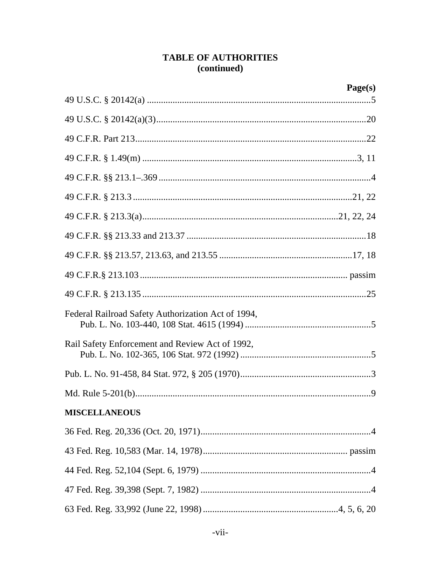|                                                    | Page(s) |
|----------------------------------------------------|---------|
|                                                    |         |
|                                                    |         |
|                                                    |         |
|                                                    |         |
|                                                    |         |
|                                                    |         |
|                                                    |         |
|                                                    |         |
|                                                    |         |
|                                                    |         |
|                                                    |         |
| Federal Railroad Safety Authorization Act of 1994, |         |
| Rail Safety Enforcement and Review Act of 1992,    |         |
|                                                    |         |
|                                                    |         |
| <b>MISCELLANEOUS</b>                               |         |
|                                                    |         |
|                                                    |         |
|                                                    |         |
|                                                    |         |
|                                                    |         |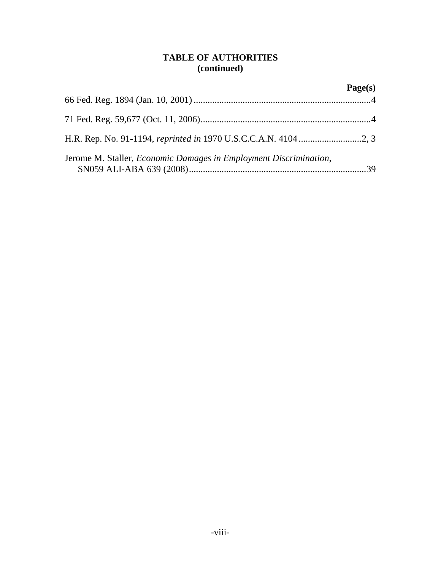|                                                                           | Page(s) |
|---------------------------------------------------------------------------|---------|
|                                                                           |         |
|                                                                           |         |
|                                                                           |         |
| Jerome M. Staller, <i>Economic Damages in Employment Discrimination</i> , |         |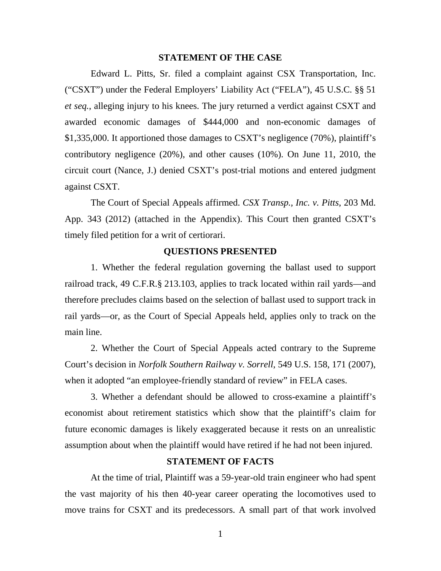#### **STATEMENT OF THE CASE**

Edward L. Pitts, Sr. filed a complaint against CSX Transportation, Inc. ("CSXT") under the Federal Employers' Liability Act ("FELA"), 45 U.S.C. §§ 51 *et seq.*, alleging injury to his knees. The jury returned a verdict against CSXT and awarded economic damages of \$444,000 and non-economic damages of \$1,335,000. It apportioned those damages to CSXT's negligence (70%), plaintiff's contributory negligence (20%), and other causes (10%). On June 11, 2010, the circuit court (Nance, J.) denied CSXT's post-trial motions and entered judgment against CSXT.

The Court of Special Appeals affirmed. *CSX Transp., Inc. v. Pitts*, 203 Md. App. 343 (2012) (attached in the Appendix). This Court then granted CSXT's timely filed petition for a writ of certiorari.

#### **QUESTIONS PRESENTED**

1. Whether the federal regulation governing the ballast used to support railroad track, 49 C.F.R.§ 213.103, applies to track located within rail yards—and therefore precludes claims based on the selection of ballast used to support track in rail yards—or, as the Court of Special Appeals held, applies only to track on the main line.

2. Whether the Court of Special Appeals acted contrary to the Supreme Court's decision in *Norfolk Southern Railway v. Sorrell*, 549 U.S. 158, 171 (2007), when it adopted "an employee-friendly standard of review" in FELA cases.

3. Whether a defendant should be allowed to cross-examine a plaintiff's economist about retirement statistics which show that the plaintiff's claim for future economic damages is likely exaggerated because it rests on an unrealistic assumption about when the plaintiff would have retired if he had not been injured.

### **STATEMENT OF FACTS**

At the time of trial, Plaintiff was a 59-year-old train engineer who had spent the vast majority of his then 40-year career operating the locomotives used to move trains for CSXT and its predecessors. A small part of that work involved

1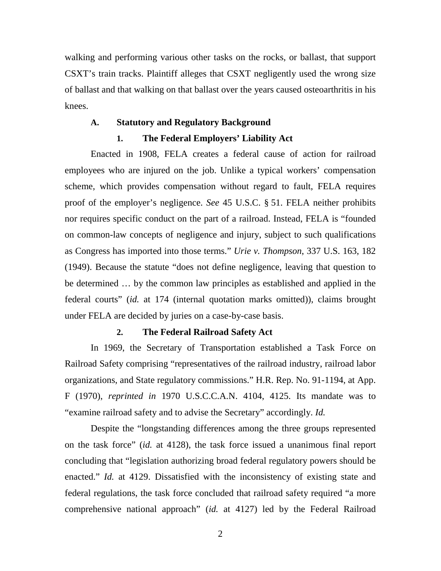walking and performing various other tasks on the rocks, or ballast, that support CSXT's train tracks. Plaintiff alleges that CSXT negligently used the wrong size of ballast and that walking on that ballast over the years caused osteoarthritis in his knees.

#### **A. Statutory and Regulatory Background**

#### **1. The Federal Employers' Liability Act**

Enacted in 1908, FELA creates a federal cause of action for railroad employees who are injured on the job. Unlike a typical workers' compensation scheme, which provides compensation without regard to fault, FELA requires proof of the employer's negligence. *See* 45 U.S.C. § 51. FELA neither prohibits nor requires specific conduct on the part of a railroad. Instead, FELA is "founded on common-law concepts of negligence and injury, subject to such qualifications as Congress has imported into those terms." *Urie v. Thompson*, 337 U.S. 163, 182 (1949). Because the statute "does not define negligence, leaving that question to be determined … by the common law principles as established and applied in the federal courts" (*id.* at 174 (internal quotation marks omitted)), claims brought under FELA are decided by juries on a case-by-case basis.

#### **2. The Federal Railroad Safety Act**

In 1969, the Secretary of Transportation established a Task Force on Railroad Safety comprising "representatives of the railroad industry, railroad labor organizations, and State regulatory commissions." H.R. Rep. No. 91-1194, at App. F (1970), *reprinted in* 1970 U.S.C.C.A.N. 4104, 4125. Its mandate was to "examine railroad safety and to advise the Secretary" accordingly. *Id.*

Despite the "longstanding differences among the three groups represented on the task force" (*id.* at 4128), the task force issued a unanimous final report concluding that "legislation authorizing broad federal regulatory powers should be enacted." *Id.* at 4129. Dissatisfied with the inconsistency of existing state and federal regulations, the task force concluded that railroad safety required "a more comprehensive national approach" (*id.* at 4127) led by the Federal Railroad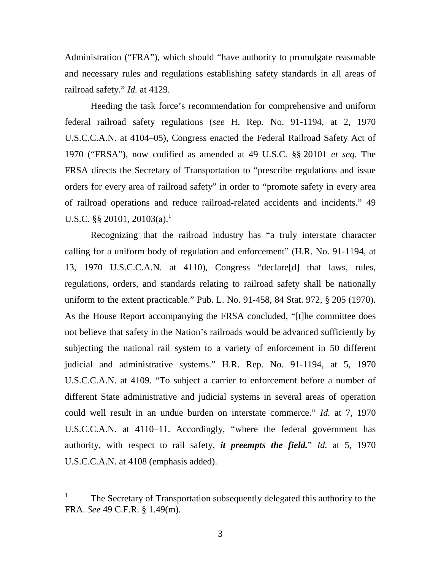Administration ("FRA"), which should "have authority to promulgate reasonable and necessary rules and regulations establishing safety standards in all areas of railroad safety." *Id.* at 4129.

Heeding the task force's recommendation for comprehensive and uniform federal railroad safety regulations (*see* H. Rep. No. 91-1194, at 2, 1970 U.S.C.C.A.N. at 4104–05), Congress enacted the Federal Railroad Safety Act of 1970 ("FRSA"), now codified as amended at 49 U.S.C. §§ 20101 *et seq*. The FRSA directs the Secretary of Transportation to "prescribe regulations and issue orders for every area of railroad safety" in order to "promote safety in every area of railroad operations and reduce railroad-related accidents and incidents." 49 U.S.C. §§ 20101, 20103(a).<sup>1</sup>

Recognizing that the railroad industry has "a truly interstate character calling for a uniform body of regulation and enforcement" (H.R. No. 91-1194, at 13, 1970 U.S.C.C.A.N. at 4110), Congress "declare[d] that laws, rules, regulations, orders, and standards relating to railroad safety shall be nationally uniform to the extent practicable." Pub. L. No. 91-458, 84 Stat. 972, § 205 (1970). As the House Report accompanying the FRSA concluded, "[t]he committee does not believe that safety in the Nation's railroads would be advanced sufficiently by subjecting the national rail system to a variety of enforcement in 50 different judicial and administrative systems." H.R. Rep. No. 91-1194, at 5, 1970 U.S.C.C.A.N. at 4109. "To subject a carrier to enforcement before a number of different State administrative and judicial systems in several areas of operation could well result in an undue burden on interstate commerce." *Id.* at 7, 1970 U.S.C.C.A.N. at 4110–11. Accordingly, "where the federal government has authority, with respect to rail safety, *it preempts the field.*" *Id.* at 5, 1970 U.S.C.C.A.N. at 4108 (emphasis added).

<sup>1</sup> The Secretary of Transportation subsequently delegated this authority to the FRA. *See* 49 C.F.R. § 1.49(m).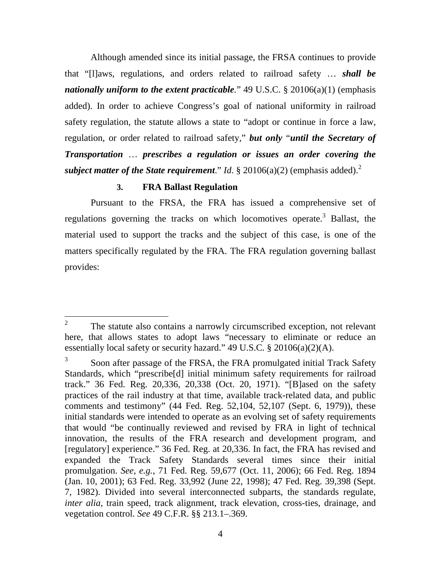Although amended since its initial passage, the FRSA continues to provide that "[l]aws, regulations, and orders related to railroad safety … *shall be nationally uniform to the extent practicable.*" 49 U.S.C. § 20106(a)(1) (emphasis added). In order to achieve Congress's goal of national uniformity in railroad safety regulation, the statute allows a state to "adopt or continue in force a law, regulation, or order related to railroad safety," *but only* "*until the Secretary of Transportation* … *prescribes a regulation or issues an order covering the subject matter of the State requirement.*" *Id.* § 20106(a)(2) (emphasis added).<sup>2</sup>

### **3. FRA Ballast Regulation**

Pursuant to the FRSA, the FRA has issued a comprehensive set of regulations governing the tracks on which locomotives operate.<sup>3</sup> Ballast, the material used to support the tracks and the subject of this case, is one of the matters specifically regulated by the FRA. The FRA regulation governing ballast provides:

<sup>2</sup> The statute also contains a narrowly circumscribed exception, not relevant here, that allows states to adopt laws "necessary to eliminate or reduce an essentially local safety or security hazard." 49 U.S.C. § 20106(a)(2)(A).

<sup>3</sup> Soon after passage of the FRSA, the FRA promulgated initial Track Safety Standards, which "prescribe[d] initial minimum safety requirements for railroad track." 36 Fed. Reg. 20,336, 20,338 (Oct. 20, 1971). "[B]ased on the safety practices of the rail industry at that time, available track-related data, and public comments and testimony" (44 Fed. Reg. 52,104, 52,107 (Sept. 6, 1979)), these initial standards were intended to operate as an evolving set of safety requirements that would "be continually reviewed and revised by FRA in light of technical innovation, the results of the FRA research and development program, and [regulatory] experience." 36 Fed. Reg. at 20,336. In fact, the FRA has revised and expanded the Track Safety Standards several times since their initial promulgation. *See, e.g.*, 71 Fed. Reg. 59,677 (Oct. 11, 2006); 66 Fed. Reg. 1894 (Jan. 10, 2001); 63 Fed. Reg. 33,992 (June 22, 1998); 47 Fed. Reg. 39,398 (Sept. 7, 1982). Divided into several interconnected subparts, the standards regulate, *inter alia*, train speed, track alignment, track elevation, cross-ties, drainage, and vegetation control. *See* 49 C.F.R. §§ 213.1–.369.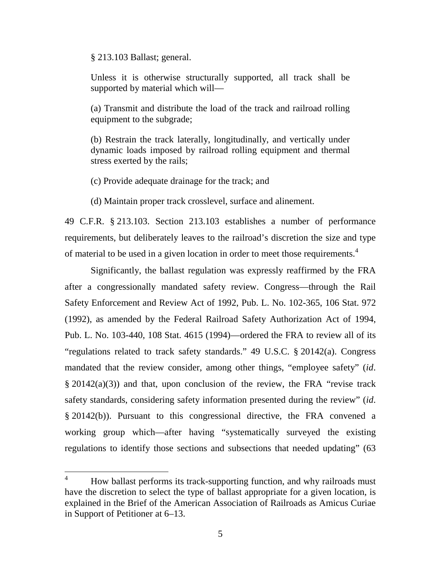§ 213.103 Ballast; general.

Unless it is otherwise structurally supported, all track shall be supported by material which will—

(a) Transmit and distribute the load of the track and railroad rolling equipment to the subgrade;

(b) Restrain the track laterally, longitudinally, and vertically under dynamic loads imposed by railroad rolling equipment and thermal stress exerted by the rails;

(c) Provide adequate drainage for the track; and

(d) Maintain proper track crosslevel, surface and alinement.

49 C.F.R. § 213.103. Section 213.103 establishes a number of performance requirements, but deliberately leaves to the railroad's discretion the size and type of material to be used in a given location in order to meet those requirements.<sup>4</sup>

Significantly, the ballast regulation was expressly reaffirmed by the FRA after a congressionally mandated safety review. Congress—through the Rail Safety Enforcement and Review Act of 1992, Pub. L. No. 102-365, 106 Stat. 972 (1992), as amended by the Federal Railroad Safety Authorization Act of 1994, Pub. L. No. 103-440, 108 Stat. 4615 (1994)—ordered the FRA to review all of its "regulations related to track safety standards." 49 U.S.C. § 20142(a). Congress mandated that the review consider, among other things, "employee safety" (*id*. § 20142(a)(3)) and that, upon conclusion of the review, the FRA "revise track safety standards, considering safety information presented during the review" (*id*. § 20142(b)). Pursuant to this congressional directive, the FRA convened a working group which—after having "systematically surveyed the existing regulations to identify those sections and subsections that needed updating" (63

<sup>&</sup>lt;sup>4</sup> How ballast performs its track-supporting function, and why railroads must have the discretion to select the type of ballast appropriate for a given location, is explained in the Brief of the American Association of Railroads as Amicus Curiae in Support of Petitioner at 6–13.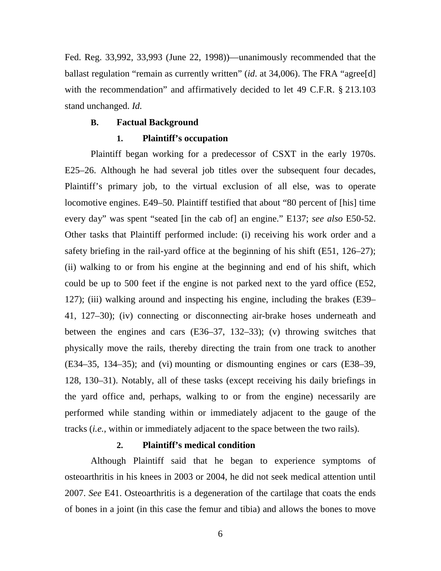Fed. Reg. 33,992, 33,993 (June 22, 1998))—unanimously recommended that the ballast regulation "remain as currently written" (*id*. at 34,006). The FRA "agree[d] with the recommendation" and affirmatively decided to let 49 C.F.R. § 213.103 stand unchanged. *Id.*

#### **B. Factual Background**

#### **1. Plaintiff's occupation**

Plaintiff began working for a predecessor of CSXT in the early 1970s. E25–26. Although he had several job titles over the subsequent four decades, Plaintiff's primary job, to the virtual exclusion of all else, was to operate locomotive engines. E49–50. Plaintiff testified that about "80 percent of [his] time every day" was spent "seated [in the cab of] an engine." E137; *see also* E50-52. Other tasks that Plaintiff performed include: (i) receiving his work order and a safety briefing in the rail-yard office at the beginning of his shift (E51, 126–27); (ii) walking to or from his engine at the beginning and end of his shift, which could be up to 500 feet if the engine is not parked next to the yard office (E52, 127); (iii) walking around and inspecting his engine, including the brakes (E39– 41, 127–30); (iv) connecting or disconnecting air-brake hoses underneath and between the engines and cars (E36–37, 132–33); (v) throwing switches that physically move the rails, thereby directing the train from one track to another (E34–35, 134–35); and (vi) mounting or dismounting engines or cars (E38–39, 128, 130–31). Notably, all of these tasks (except receiving his daily briefings in the yard office and, perhaps, walking to or from the engine) necessarily are performed while standing within or immediately adjacent to the gauge of the tracks (*i.e.*, within or immediately adjacent to the space between the two rails).

### **2. Plaintiff's medical condition**

Although Plaintiff said that he began to experience symptoms of osteoarthritis in his knees in 2003 or 2004, he did not seek medical attention until 2007. *See* E41. Osteoarthritis is a degeneration of the cartilage that coats the ends of bones in a joint (in this case the femur and tibia) and allows the bones to move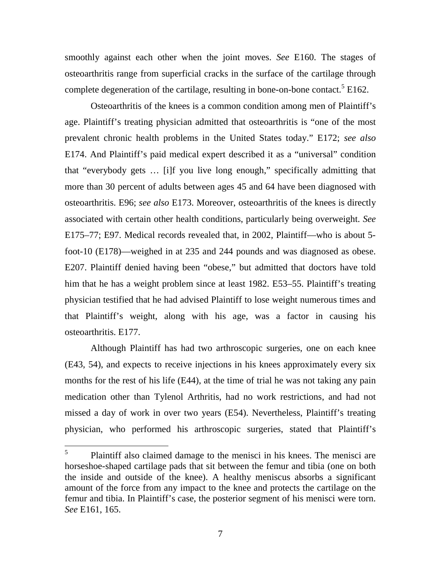smoothly against each other when the joint moves. *See* E160. The stages of osteoarthritis range from superficial cracks in the surface of the cartilage through complete degeneration of the cartilage, resulting in bone-on-bone contact.<sup>5</sup> E162.

Osteoarthritis of the knees is a common condition among men of Plaintiff's age. Plaintiff's treating physician admitted that osteoarthritis is "one of the most prevalent chronic health problems in the United States today." E172; *see also* E174. And Plaintiff's paid medical expert described it as a "universal" condition that "everybody gets … [i]f you live long enough," specifically admitting that more than 30 percent of adults between ages 45 and 64 have been diagnosed with osteoarthritis. E96; *see also* E173. Moreover, osteoarthritis of the knees is directly associated with certain other health conditions, particularly being overweight. *See* E175–77; E97. Medical records revealed that, in 2002, Plaintiff—who is about 5 foot-10 (E178)—weighed in at 235 and 244 pounds and was diagnosed as obese. E207. Plaintiff denied having been "obese," but admitted that doctors have told him that he has a weight problem since at least 1982. E53–55. Plaintiff's treating physician testified that he had advised Plaintiff to lose weight numerous times and that Plaintiff's weight, along with his age, was a factor in causing his osteoarthritis. E177.

Although Plaintiff has had two arthroscopic surgeries, one on each knee (E43, 54), and expects to receive injections in his knees approximately every six months for the rest of his life (E44), at the time of trial he was not taking any pain medication other than Tylenol Arthritis, had no work restrictions, and had not missed a day of work in over two years (E54). Nevertheless, Plaintiff's treating physician, who performed his arthroscopic surgeries, stated that Plaintiff's

<sup>5</sup> Plaintiff also claimed damage to the menisci in his knees. The menisci are horseshoe-shaped cartilage pads that sit between the femur and tibia (one on both the inside and outside of the knee). A healthy meniscus absorbs a significant amount of the force from any impact to the knee and protects the cartilage on the femur and tibia. In Plaintiff's case, the posterior segment of his menisci were torn. *See* E161, 165.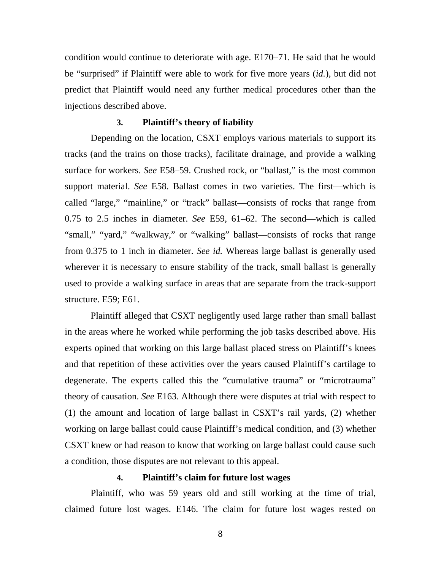condition would continue to deteriorate with age. E170–71. He said that he would be "surprised" if Plaintiff were able to work for five more years (*id.*), but did not predict that Plaintiff would need any further medical procedures other than the injections described above.

#### **3. Plaintiff's theory of liability**

Depending on the location, CSXT employs various materials to support its tracks (and the trains on those tracks), facilitate drainage, and provide a walking surface for workers. *See* E58–59. Crushed rock, or "ballast," is the most common support material. *See* E58. Ballast comes in two varieties. The first—which is called "large," "mainline," or "track" ballast—consists of rocks that range from 0.75 to 2.5 inches in diameter. *See* E59, 61–62. The second—which is called "small," "yard," "walkway," or "walking" ballast—consists of rocks that range from 0.375 to 1 inch in diameter. *See id.* Whereas large ballast is generally used wherever it is necessary to ensure stability of the track, small ballast is generally used to provide a walking surface in areas that are separate from the track-support structure. E59; E61.

Plaintiff alleged that CSXT negligently used large rather than small ballast in the areas where he worked while performing the job tasks described above. His experts opined that working on this large ballast placed stress on Plaintiff's knees and that repetition of these activities over the years caused Plaintiff's cartilage to degenerate. The experts called this the "cumulative trauma" or "microtrauma" theory of causation. *See* E163. Although there were disputes at trial with respect to (1) the amount and location of large ballast in CSXT's rail yards, (2) whether working on large ballast could cause Plaintiff's medical condition, and (3) whether CSXT knew or had reason to know that working on large ballast could cause such a condition, those disputes are not relevant to this appeal.

### **4. Plaintiff's claim for future lost wages**

Plaintiff, who was 59 years old and still working at the time of trial, claimed future lost wages. E146. The claim for future lost wages rested on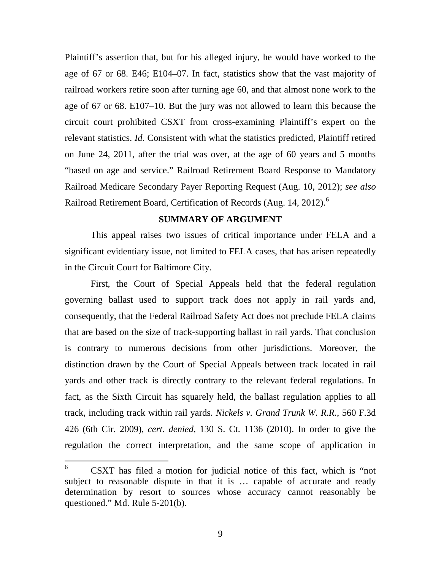Plaintiff's assertion that, but for his alleged injury, he would have worked to the age of 67 or 68. E46; E104–07. In fact, statistics show that the vast majority of railroad workers retire soon after turning age 60, and that almost none work to the age of 67 or 68. E107–10. But the jury was not allowed to learn this because the circuit court prohibited CSXT from cross-examining Plaintiff's expert on the relevant statistics. *Id*. Consistent with what the statistics predicted, Plaintiff retired on June 24, 2011, after the trial was over, at the age of 60 years and 5 months "based on age and service." Railroad Retirement Board Response to Mandatory Railroad Medicare Secondary Payer Reporting Request (Aug. 10, 2012); *see also* Railroad Retirement Board, Certification of Records (Aug. 14, 2012).<sup>6</sup>

#### **SUMMARY OF ARGUMENT**

This appeal raises two issues of critical importance under FELA and a significant evidentiary issue, not limited to FELA cases, that has arisen repeatedly in the Circuit Court for Baltimore City.

First, the Court of Special Appeals held that the federal regulation governing ballast used to support track does not apply in rail yards and, consequently, that the Federal Railroad Safety Act does not preclude FELA claims that are based on the size of track-supporting ballast in rail yards. That conclusion is contrary to numerous decisions from other jurisdictions. Moreover, the distinction drawn by the Court of Special Appeals between track located in rail yards and other track is directly contrary to the relevant federal regulations. In fact, as the Sixth Circuit has squarely held, the ballast regulation applies to all track, including track within rail yards. *Nickels v. Grand Trunk W. R.R.*, 560 F.3d 426 (6th Cir. 2009), *cert. denied*, 130 S. Ct. 1136 (2010). In order to give the regulation the correct interpretation, and the same scope of application in

<sup>6</sup> CSXT has filed a motion for judicial notice of this fact, which is "not subject to reasonable dispute in that it is … capable of accurate and ready determination by resort to sources whose accuracy cannot reasonably be questioned." Md. Rule 5-201(b).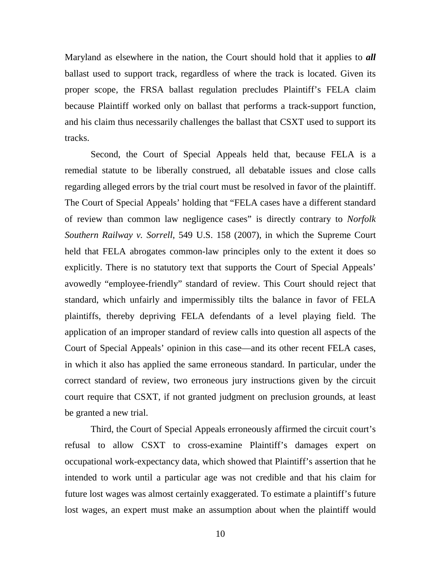Maryland as elsewhere in the nation, the Court should hold that it applies to *all* ballast used to support track, regardless of where the track is located. Given its proper scope, the FRSA ballast regulation precludes Plaintiff's FELA claim because Plaintiff worked only on ballast that performs a track-support function, and his claim thus necessarily challenges the ballast that CSXT used to support its tracks.

Second, the Court of Special Appeals held that, because FELA is a remedial statute to be liberally construed, all debatable issues and close calls regarding alleged errors by the trial court must be resolved in favor of the plaintiff. The Court of Special Appeals' holding that "FELA cases have a different standard of review than common law negligence cases" is directly contrary to *Norfolk Southern Railway v. Sorrell*, 549 U.S. 158 (2007), in which the Supreme Court held that FELA abrogates common-law principles only to the extent it does so explicitly. There is no statutory text that supports the Court of Special Appeals' avowedly "employee-friendly" standard of review. This Court should reject that standard, which unfairly and impermissibly tilts the balance in favor of FELA plaintiffs, thereby depriving FELA defendants of a level playing field. The application of an improper standard of review calls into question all aspects of the Court of Special Appeals' opinion in this case—and its other recent FELA cases, in which it also has applied the same erroneous standard. In particular, under the correct standard of review, two erroneous jury instructions given by the circuit court require that CSXT, if not granted judgment on preclusion grounds, at least be granted a new trial.

Third, the Court of Special Appeals erroneously affirmed the circuit court's refusal to allow CSXT to cross-examine Plaintiff's damages expert on occupational work-expectancy data, which showed that Plaintiff's assertion that he intended to work until a particular age was not credible and that his claim for future lost wages was almost certainly exaggerated. To estimate a plaintiff's future lost wages, an expert must make an assumption about when the plaintiff would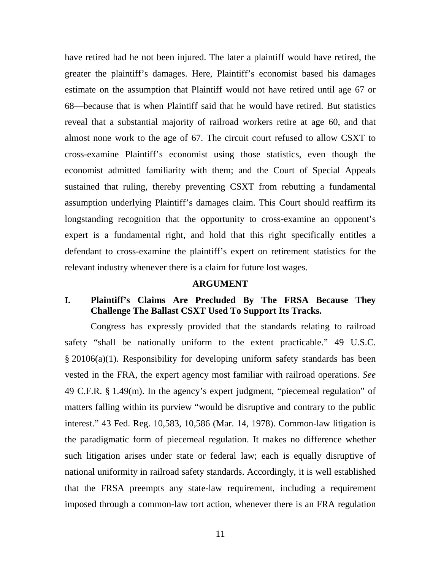have retired had he not been injured. The later a plaintiff would have retired, the greater the plaintiff's damages. Here, Plaintiff's economist based his damages estimate on the assumption that Plaintiff would not have retired until age 67 or 68—because that is when Plaintiff said that he would have retired. But statistics reveal that a substantial majority of railroad workers retire at age 60, and that almost none work to the age of 67. The circuit court refused to allow CSXT to cross-examine Plaintiff's economist using those statistics, even though the economist admitted familiarity with them; and the Court of Special Appeals sustained that ruling, thereby preventing CSXT from rebutting a fundamental assumption underlying Plaintiff's damages claim. This Court should reaffirm its longstanding recognition that the opportunity to cross-examine an opponent's expert is a fundamental right, and hold that this right specifically entitles a defendant to cross-examine the plaintiff's expert on retirement statistics for the relevant industry whenever there is a claim for future lost wages.

#### **ARGUMENT**

### **I. Plaintiff's Claims Are Precluded By The FRSA Because They Challenge The Ballast CSXT Used To Support Its Tracks.**

Congress has expressly provided that the standards relating to railroad safety "shall be nationally uniform to the extent practicable." 49 U.S.C. § 20106(a)(1). Responsibility for developing uniform safety standards has been vested in the FRA, the expert agency most familiar with railroad operations. *See* 49 C.F.R. § 1.49(m). In the agency's expert judgment, "piecemeal regulation" of matters falling within its purview "would be disruptive and contrary to the public interest." 43 Fed. Reg. 10,583, 10,586 (Mar. 14, 1978). Common-law litigation is the paradigmatic form of piecemeal regulation. It makes no difference whether such litigation arises under state or federal law; each is equally disruptive of national uniformity in railroad safety standards. Accordingly, it is well established that the FRSA preempts any state-law requirement, including a requirement imposed through a common-law tort action, whenever there is an FRA regulation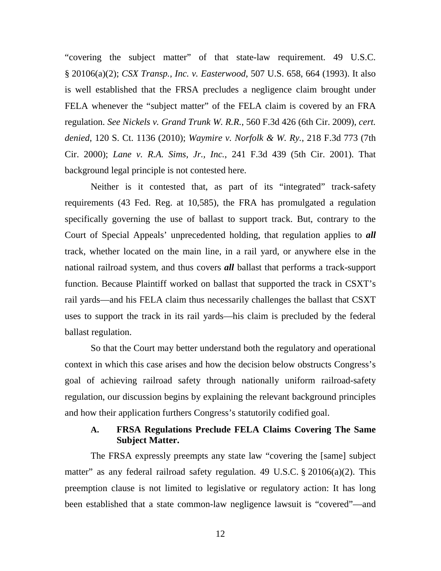"covering the subject matter" of that state-law requirement. 49 U.S.C. § 20106(a)(2); *CSX Transp., Inc. v. Easterwood*, 507 U.S. 658, 664 (1993). It also is well established that the FRSA precludes a negligence claim brought under FELA whenever the "subject matter" of the FELA claim is covered by an FRA regulation. *See Nickels v. Grand Trunk W. R.R.*, 560 F.3d 426 (6th Cir. 2009), *cert. denied*, 120 S. Ct. 1136 (2010); *Waymire v. Norfolk & W. Ry.*, 218 F.3d 773 (7th Cir. 2000); *Lane v. R.A. Sims, Jr., Inc.*, 241 F.3d 439 (5th Cir. 2001). That background legal principle is not contested here.

Neither is it contested that, as part of its "integrated" track-safety requirements (43 Fed. Reg. at 10,585), the FRA has promulgated a regulation specifically governing the use of ballast to support track. But, contrary to the Court of Special Appeals' unprecedented holding, that regulation applies to *all* track, whether located on the main line, in a rail yard, or anywhere else in the national railroad system, and thus covers *all* ballast that performs a track-support function. Because Plaintiff worked on ballast that supported the track in CSXT's rail yards—and his FELA claim thus necessarily challenges the ballast that CSXT uses to support the track in its rail yards—his claim is precluded by the federal ballast regulation.

So that the Court may better understand both the regulatory and operational context in which this case arises and how the decision below obstructs Congress's goal of achieving railroad safety through nationally uniform railroad-safety regulation, our discussion begins by explaining the relevant background principles and how their application furthers Congress's statutorily codified goal.

## **A. FRSA Regulations Preclude FELA Claims Covering The Same Subject Matter.**

The FRSA expressly preempts any state law "covering the [same] subject matter" as any federal railroad safety regulation. 49 U.S.C. § 20106(a)(2). This preemption clause is not limited to legislative or regulatory action: It has long been established that a state common-law negligence lawsuit is "covered"—and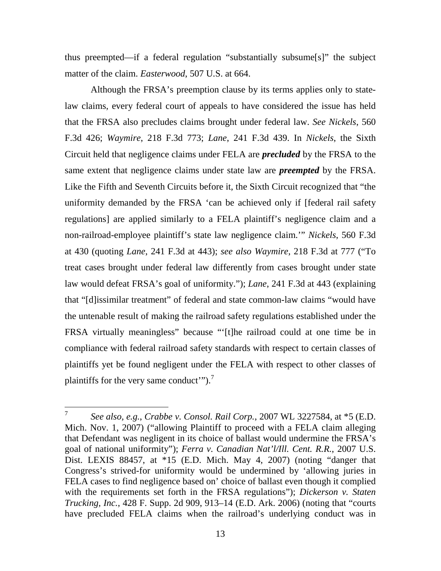thus preempted—if a federal regulation "substantially subsume[s]" the subject matter of the claim. *Easterwood*, 507 U.S. at 664.

Although the FRSA's preemption clause by its terms applies only to statelaw claims, every federal court of appeals to have considered the issue has held that the FRSA also precludes claims brought under federal law. *See Nickels*, 560 F.3d 426; *Waymire*, 218 F.3d 773; *Lane*, 241 F.3d 439. In *Nickels*, the Sixth Circuit held that negligence claims under FELA are *precluded* by the FRSA to the same extent that negligence claims under state law are *preempted* by the FRSA. Like the Fifth and Seventh Circuits before it, the Sixth Circuit recognized that "the uniformity demanded by the FRSA 'can be achieved only if [federal rail safety regulations] are applied similarly to a FELA plaintiff's negligence claim and a non-railroad-employee plaintiff's state law negligence claim.'" *Nickels*, 560 F.3d at 430 (quoting *Lane*, 241 F.3d at 443); *see also Waymire*, 218 F.3d at 777 ("To treat cases brought under federal law differently from cases brought under state law would defeat FRSA's goal of uniformity."); *Lane*, 241 F.3d at 443 (explaining that "[d]issimilar treatment" of federal and state common-law claims "would have the untenable result of making the railroad safety regulations established under the FRSA virtually meaningless" because "'[t]he railroad could at one time be in compliance with federal railroad safety standards with respect to certain classes of plaintiffs yet be found negligent under the FELA with respect to other classes of plaintiffs for the very same conduct").<sup>7</sup>

<sup>7</sup> *See also, e.g.*, *Crabbe v. Consol. Rail Corp.*, 2007 WL 3227584, at \*5 (E.D. Mich. Nov. 1, 2007) ("allowing Plaintiff to proceed with a FELA claim alleging that Defendant was negligent in its choice of ballast would undermine the FRSA's goal of national uniformity"); *Ferra v. Canadian Nat'l/Ill. Cent. R.R.*, 2007 U.S. Dist. LEXIS 88457, at \*15 (E.D. Mich. May 4, 2007) (noting "danger that Congress's strived-for uniformity would be undermined by 'allowing juries in FELA cases to find negligence based on' choice of ballast even though it complied with the requirements set forth in the FRSA regulations"); *Dickerson v. Staten Trucking, Inc.*, 428 F. Supp. 2d 909, 913–14 (E.D. Ark. 2006) (noting that "courts have precluded FELA claims when the railroad's underlying conduct was in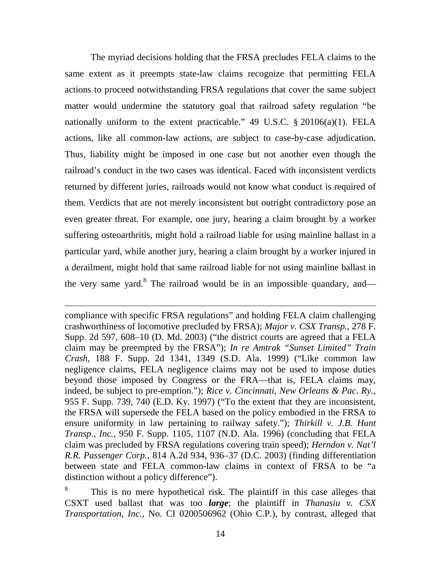The myriad decisions holding that the FRSA precludes FELA claims to the same extent as it preempts state-law claims recognize that permitting FELA actions to proceed notwithstanding FRSA regulations that cover the same subject matter would undermine the statutory goal that railroad safety regulation "be nationally uniform to the extent practicable." 49 U.S.C. § 20106(a)(1). FELA actions, like all common-law actions, are subject to case-by-case adjudication. Thus, liability might be imposed in one case but not another even though the railroad's conduct in the two cases was identical. Faced with inconsistent verdicts returned by different juries, railroads would not know what conduct is required of them. Verdicts that are not merely inconsistent but outright contradictory pose an even greater threat. For example, one jury, hearing a claim brought by a worker suffering osteoarthritis, might hold a railroad liable for using mainline ballast in a particular yard, while another jury, hearing a claim brought by a worker injured in a derailment, might hold that same railroad liable for not using mainline ballast in the very same yard.<sup>8</sup> The railroad would be in an impossible quandary, and—

compliance with specific FRSA regulations" and holding FELA claim challenging crashworthiness of locomotive precluded by FRSA); *Major v. CSX Transp.*, 278 F. Supp. 2d 597, 608–10 (D. Md. 2003) ("the district courts are agreed that a FELA claim may be preempted by the FRSA"); *In re Amtrak "Sunset Limited" Train Crash*, 188 F. Supp. 2d 1341, 1349 (S.D. Ala. 1999) ("Like common law negligence claims, FELA negligence claims may not be used to impose duties beyond those imposed by Congress or the FRA—that is, FELA claims may, indeed, be subject to pre-emption."); *Rice v. Cincinnati, New Orleans & Pac. Ry.*, 955 F. Supp. 739, 740 (E.D. Ky. 1997) ("To the extent that they are inconsistent, the FRSA will supersede the FELA based on the policy embodied in the FRSA to ensure uniformity in law pertaining to railway safety."); *Thirkill v. J.B. Hunt Transp., Inc.*, 950 F. Supp. 1105, 1107 (N.D. Ala. 1996) (concluding that FELA claim was precluded by FRSA regulations covering train speed); *Herndon v. Nat'l R.R. Passenger Corp.*, 814 A.2d 934, 936–37 (D.C. 2003) (finding differentiation between state and FELA common-law claims in context of FRSA to be "a distinction without a policy difference").

8 This is no mere hypothetical risk. The plaintiff in this case alleges that CSXT used ballast that was too *large*; the plaintiff in *Thanasiu v. CSX Transportation, Inc.*, No. CI 0200506962 (Ohio C.P.), by contrast, alleged that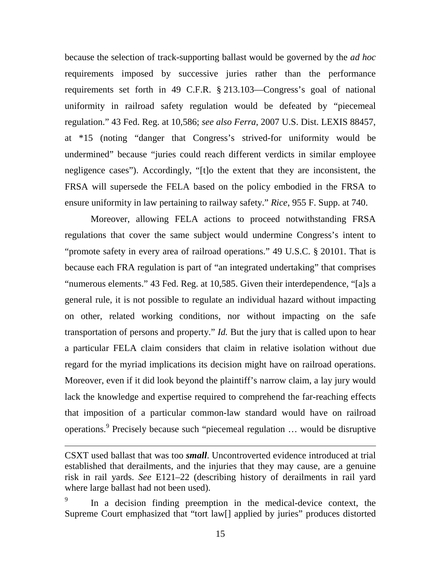because the selection of track-supporting ballast would be governed by the *ad hoc* requirements imposed by successive juries rather than the performance requirements set forth in 49 C.F.R. § 213.103—Congress's goal of national uniformity in railroad safety regulation would be defeated by "piecemeal regulation." 43 Fed. Reg. at 10,586; *see also Ferra*, 2007 U.S. Dist. LEXIS 88457, at \*15 (noting "danger that Congress's strived-for uniformity would be undermined" because "juries could reach different verdicts in similar employee negligence cases"). Accordingly, "[t]o the extent that they are inconsistent, the FRSA will supersede the FELA based on the policy embodied in the FRSA to ensure uniformity in law pertaining to railway safety." *Rice*, 955 F. Supp. at 740.

Moreover, allowing FELA actions to proceed notwithstanding FRSA regulations that cover the same subject would undermine Congress's intent to "promote safety in every area of railroad operations." 49 U.S.C. § 20101. That is because each FRA regulation is part of "an integrated undertaking" that comprises "numerous elements." 43 Fed. Reg. at 10,585. Given their interdependence, "[a]s a general rule, it is not possible to regulate an individual hazard without impacting on other, related working conditions, nor without impacting on the safe transportation of persons and property." *Id.* But the jury that is called upon to hear a particular FELA claim considers that claim in relative isolation without due regard for the myriad implications its decision might have on railroad operations. Moreover, even if it did look beyond the plaintiff's narrow claim, a lay jury would lack the knowledge and expertise required to comprehend the far-reaching effects that imposition of a particular common-law standard would have on railroad operations.<sup>9</sup> Precisely because such "piecemeal regulation ... would be disruptive

CSXT used ballast that was too *small*. Uncontroverted evidence introduced at trial established that derailments, and the injuries that they may cause, are a genuine risk in rail yards. *See* E121–22 (describing history of derailments in rail yard where large ballast had not been used).

<sup>9</sup> In a decision finding preemption in the medical-device context, the Supreme Court emphasized that "tort law[] applied by juries" produces distorted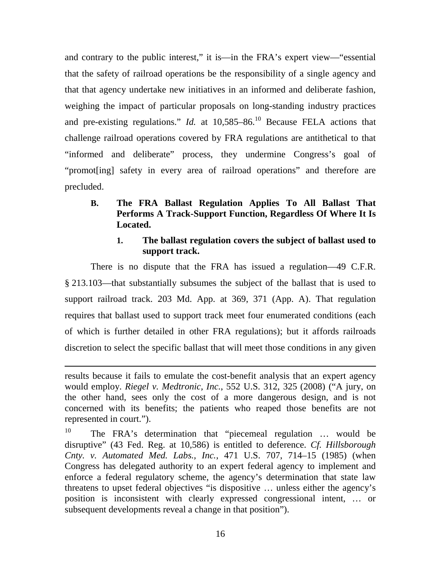and contrary to the public interest," it is—in the FRA's expert view—"essential that the safety of railroad operations be the responsibility of a single agency and that that agency undertake new initiatives in an informed and deliberate fashion, weighing the impact of particular proposals on long-standing industry practices and pre-existing regulations." *Id.* at 10,585–86.<sup>10</sup> Because FELA actions that challenge railroad operations covered by FRA regulations are antithetical to that "informed and deliberate" process, they undermine Congress's goal of "promot[ing] safety in every area of railroad operations" and therefore are precluded.

## **B. The FRA Ballast Regulation Applies To All Ballast That Performs A Track-Support Function, Regardless Of Where It Is Located.**

## **1. The ballast regulation covers the subject of ballast used to support track.**

There is no dispute that the FRA has issued a regulation—49 C.F.R. § 213.103—that substantially subsumes the subject of the ballast that is used to support railroad track. 203 Md. App. at 369, 371 (App. A). That regulation requires that ballast used to support track meet four enumerated conditions (each of which is further detailed in other FRA regulations); but it affords railroads discretion to select the specific ballast that will meet those conditions in any given

results because it fails to emulate the cost-benefit analysis that an expert agency would employ. *Riegel v. Medtronic, Inc.*, 552 U.S. 312, 325 (2008) ("A jury, on the other hand, sees only the cost of a more dangerous design, and is not concerned with its benefits; the patients who reaped those benefits are not represented in court.").

<sup>10</sup> The FRA's determination that "piecemeal regulation … would be disruptive" (43 Fed. Reg. at 10,586) is entitled to deference. *Cf. Hillsborough Cnty. v. Automated Med. Labs., Inc.*, 471 U.S. 707, 714–15 (1985) (when Congress has delegated authority to an expert federal agency to implement and enforce a federal regulatory scheme, the agency's determination that state law threatens to upset federal objectives "is dispositive … unless either the agency's position is inconsistent with clearly expressed congressional intent, … or subsequent developments reveal a change in that position").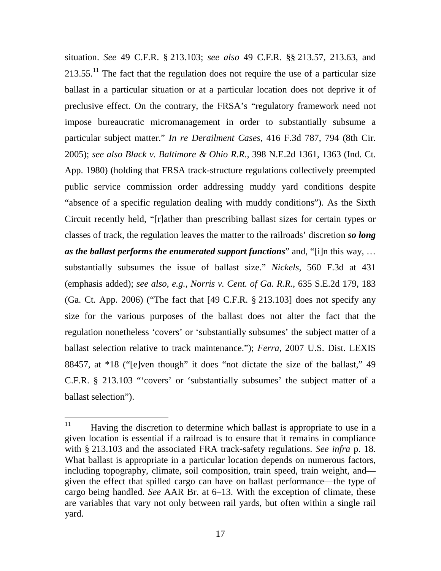situation. *See* 49 C.F.R. § 213.103; *see also* 49 C.F.R. §§ 213.57, 213.63, and  $213.55<sup>11</sup>$  The fact that the regulation does not require the use of a particular size ballast in a particular situation or at a particular location does not deprive it of preclusive effect. On the contrary, the FRSA's "regulatory framework need not impose bureaucratic micromanagement in order to substantially subsume a particular subject matter." *In re Derailment Cases*, 416 F.3d 787, 794 (8th Cir. 2005); *see also Black v. Baltimore & Ohio R.R.*, 398 N.E.2d 1361, 1363 (Ind. Ct. App. 1980) (holding that FRSA track-structure regulations collectively preempted public service commission order addressing muddy yard conditions despite "absence of a specific regulation dealing with muddy conditions"). As the Sixth Circuit recently held, "[r]ather than prescribing ballast sizes for certain types or classes of track, the regulation leaves the matter to the railroads' discretion *so long as the ballast performs the enumerated support functions*" and, "[i]n this way, … substantially subsumes the issue of ballast size." *Nickels*, 560 F.3d at 431 (emphasis added); *see also, e.g.*, *Norris v. Cent. of Ga. R.R.*, 635 S.E.2d 179, 183 (Ga. Ct. App. 2006) ("The fact that [49 C.F.R. § 213.103] does not specify any size for the various purposes of the ballast does not alter the fact that the regulation nonetheless 'covers' or 'substantially subsumes' the subject matter of a ballast selection relative to track maintenance."); *Ferra*, 2007 U.S. Dist. LEXIS 88457, at \*18 ("[e]ven though" it does "not dictate the size of the ballast," 49 C.F.R. § 213.103 "'covers' or 'substantially subsumes' the subject matter of a ballast selection").

 $11$  Having the discretion to determine which ballast is appropriate to use in a given location is essential if a railroad is to ensure that it remains in compliance with § 213.103 and the associated FRA track-safety regulations. *See infra* p. 18. What ballast is appropriate in a particular location depends on numerous factors, including topography, climate, soil composition, train speed, train weight, and given the effect that spilled cargo can have on ballast performance—the type of cargo being handled. *See* AAR Br. at 6–13. With the exception of climate, these are variables that vary not only between rail yards, but often within a single rail yard.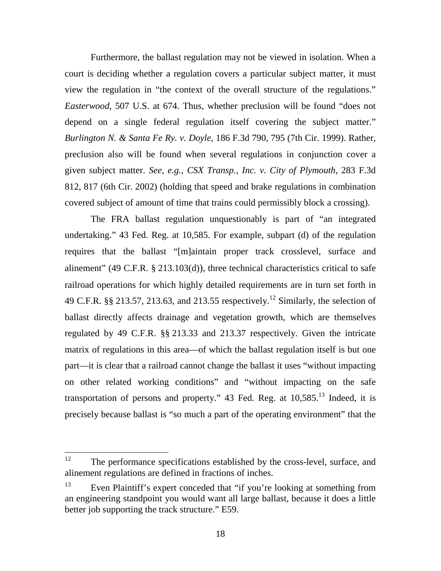Furthermore, the ballast regulation may not be viewed in isolation. When a court is deciding whether a regulation covers a particular subject matter, it must view the regulation in "the context of the overall structure of the regulations." *Easterwood*, 507 U.S. at 674. Thus, whether preclusion will be found "does not depend on a single federal regulation itself covering the subject matter." *Burlington N. & Santa Fe Ry. v. Doyle*, 186 F.3d 790, 795 (7th Cir. 1999). Rather, preclusion also will be found when several regulations in conjunction cover a given subject matter. *See, e.g.*, *CSX Transp., Inc. v. City of Plymouth*, 283 F.3d 812, 817 (6th Cir. 2002) (holding that speed and brake regulations in combination covered subject of amount of time that trains could permissibly block a crossing).

The FRA ballast regulation unquestionably is part of "an integrated undertaking." 43 Fed. Reg. at 10,585. For example, subpart (d) of the regulation requires that the ballast "[m]aintain proper track crosslevel, surface and alinement" (49 C.F.R. § 213.103(d)), three technical characteristics critical to safe railroad operations for which highly detailed requirements are in turn set forth in 49 C.F.R. §§ 213.57, 213.63, and 213.55 respectively.<sup>12</sup> Similarly, the selection of ballast directly affects drainage and vegetation growth, which are themselves regulated by 49 C.F.R. §§ 213.33 and 213.37 respectively. Given the intricate matrix of regulations in this area—of which the ballast regulation itself is but one part—it is clear that a railroad cannot change the ballast it uses "without impacting on other related working conditions" and "without impacting on the safe transportation of persons and property." 43 Fed. Reg. at  $10,585$ .<sup>13</sup> Indeed, it is precisely because ballast is "so much a part of the operating environment" that the

 $12$  The performance specifications established by the cross-level, surface, and alinement regulations are defined in fractions of inches.

<sup>&</sup>lt;sup>13</sup> Even Plaintiff's expert conceded that "if you're looking at something from an engineering standpoint you would want all large ballast, because it does a little better job supporting the track structure." E59.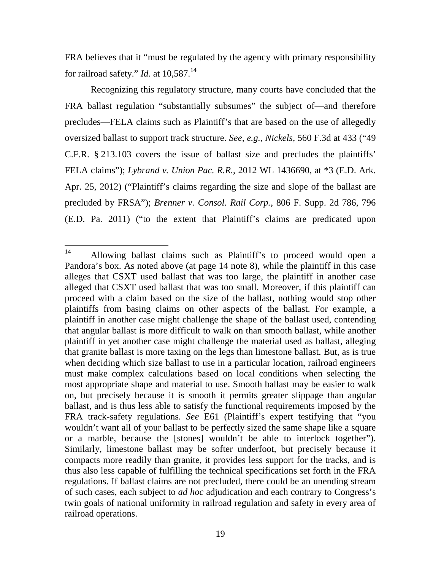FRA believes that it "must be regulated by the agency with primary responsibility for railroad safety." *Id.* at 10,587.<sup>14</sup>

Recognizing this regulatory structure, many courts have concluded that the FRA ballast regulation "substantially subsumes" the subject of—and therefore precludes—FELA claims such as Plaintiff's that are based on the use of allegedly oversized ballast to support track structure. *See, e.g.*, *Nickels*, 560 F.3d at 433 ("49 C.F.R. § 213.103 covers the issue of ballast size and precludes the plaintiffs' FELA claims"); *Lybrand v. Union Pac. R.R.*, 2012 WL 1436690, at \*3 (E.D. Ark. Apr. 25, 2012) ("Plaintiff's claims regarding the size and slope of the ballast are precluded by FRSA"); *Brenner v. Consol. Rail Corp.*, 806 F. Supp. 2d 786, 796 (E.D. Pa. 2011) ("to the extent that Plaintiff's claims are predicated upon

<sup>14</sup> Allowing ballast claims such as Plaintiff's to proceed would open a Pandora's box. As noted above (at page 14 note 8), while the plaintiff in this case alleges that CSXT used ballast that was too large, the plaintiff in another case alleged that CSXT used ballast that was too small. Moreover, if this plaintiff can proceed with a claim based on the size of the ballast, nothing would stop other plaintiffs from basing claims on other aspects of the ballast. For example, a plaintiff in another case might challenge the shape of the ballast used, contending that angular ballast is more difficult to walk on than smooth ballast, while another plaintiff in yet another case might challenge the material used as ballast, alleging that granite ballast is more taxing on the legs than limestone ballast. But, as is true when deciding which size ballast to use in a particular location, railroad engineers must make complex calculations based on local conditions when selecting the most appropriate shape and material to use. Smooth ballast may be easier to walk on, but precisely because it is smooth it permits greater slippage than angular ballast, and is thus less able to satisfy the functional requirements imposed by the FRA track-safety regulations. *See* E61 (Plaintiff's expert testifying that "you wouldn't want all of your ballast to be perfectly sized the same shape like a square or a marble, because the [stones] wouldn't be able to interlock together"). Similarly, limestone ballast may be softer underfoot, but precisely because it compacts more readily than granite, it provides less support for the tracks, and is thus also less capable of fulfilling the technical specifications set forth in the FRA regulations. If ballast claims are not precluded, there could be an unending stream of such cases, each subject to *ad hoc* adjudication and each contrary to Congress's twin goals of national uniformity in railroad regulation and safety in every area of railroad operations.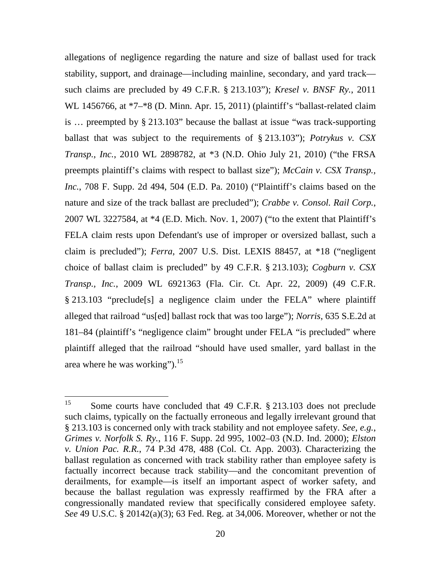allegations of negligence regarding the nature and size of ballast used for track stability, support, and drainage—including mainline, secondary, and yard track such claims are precluded by 49 C.F.R. § 213.103"); *Kresel v. BNSF Ry.*, 2011 WL 1456766, at \*7–\*8 (D. Minn. Apr. 15, 2011) (plaintiff's "ballast-related claim is … preempted by § 213.103" because the ballast at issue "was track-supporting ballast that was subject to the requirements of § 213.103"); *Potrykus v. CSX Transp., Inc.*, 2010 WL 2898782, at \*3 (N.D. Ohio July 21, 2010) ("the FRSA preempts plaintiff's claims with respect to ballast size"); *McCain v. CSX Transp., Inc.*, 708 F. Supp. 2d 494, 504 (E.D. Pa. 2010) ("Plaintiff's claims based on the nature and size of the track ballast are precluded"); *Crabbe v. Consol. Rail Corp.*, 2007 WL 3227584, at \*4 (E.D. Mich. Nov. 1, 2007) ("to the extent that Plaintiff's FELA claim rests upon Defendant's use of improper or oversized ballast, such a claim is precluded"); *Ferra*, 2007 U.S. Dist. LEXIS 88457, at \*18 ("negligent choice of ballast claim is precluded" by 49 C.F.R. § 213.103); *Cogburn v. CSX Transp., Inc.*, 2009 WL 6921363 (Fla. Cir. Ct. Apr. 22, 2009) (49 C.F.R. § 213.103 "preclude[s] a negligence claim under the FELA" where plaintiff alleged that railroad "us[ed] ballast rock that was too large"); *Norris*, 635 S.E.2d at 181–84 (plaintiff's "negligence claim" brought under FELA "is precluded" where plaintiff alleged that the railroad "should have used smaller, yard ballast in the area where he was working"). $^{15}$ 

<sup>&</sup>lt;sup>15</sup> Some courts have concluded that 49 C.F.R. § 213.103 does not preclude such claims, typically on the factually erroneous and legally irrelevant ground that § 213.103 is concerned only with track stability and not employee safety. *See, e.g.*, *Grimes v. Norfolk S. Ry.*, 116 F. Supp. 2d 995, 1002–03 (N.D. Ind. 2000); *Elston v. Union Pac. R.R.*, 74 P.3d 478, 488 (Col. Ct. App. 2003). Characterizing the ballast regulation as concerned with track stability rather than employee safety is factually incorrect because track stability—and the concomitant prevention of derailments, for example—is itself an important aspect of worker safety, and because the ballast regulation was expressly reaffirmed by the FRA after a congressionally mandated review that specifically considered employee safety. *See* 49 U.S.C. § 20142(a)(3); 63 Fed. Reg. at 34,006. Moreover, whether or not the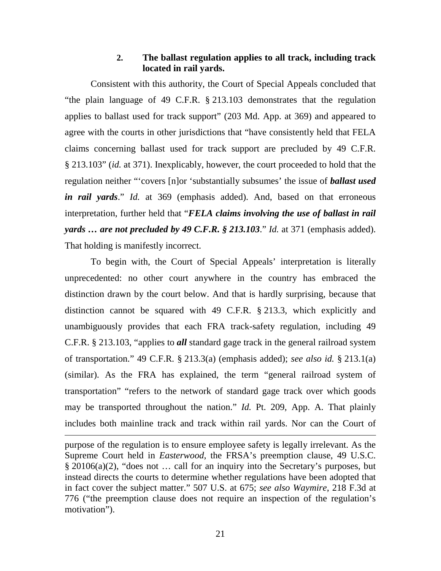## **2. The ballast regulation applies to all track, including track located in rail yards.**

Consistent with this authority, the Court of Special Appeals concluded that "the plain language of 49 C.F.R. § 213.103 demonstrates that the regulation applies to ballast used for track support" (203 Md. App. at 369) and appeared to agree with the courts in other jurisdictions that "have consistently held that FELA claims concerning ballast used for track support are precluded by 49 C.F.R. § 213.103" (*id.* at 371). Inexplicably, however, the court proceeded to hold that the regulation neither "'covers [n]or 'substantially subsumes' the issue of *ballast used in rail yards*." *Id.* at 369 (emphasis added). And, based on that erroneous interpretation, further held that "*FELA claims involving the use of ballast in rail yards … are not precluded by 49 C.F.R. § 213.103*." *Id.* at 371 (emphasis added). That holding is manifestly incorrect.

To begin with, the Court of Special Appeals' interpretation is literally unprecedented: no other court anywhere in the country has embraced the distinction drawn by the court below. And that is hardly surprising, because that distinction cannot be squared with 49 C.F.R. § 213.3, which explicitly and unambiguously provides that each FRA track-safety regulation, including 49 C.F.R. § 213.103, "applies to *all* standard gage track in the general railroad system of transportation." 49 C.F.R. § 213.3(a) (emphasis added); *see also id.* § 213.1(a) (similar). As the FRA has explained, the term "general railroad system of transportation" "refers to the network of standard gage track over which goods may be transported throughout the nation." *Id.* Pt. 209, App. A. That plainly includes both mainline track and track within rail yards. Nor can the Court of

purpose of the regulation is to ensure employee safety is legally irrelevant. As the Supreme Court held in *Easterwood*, the FRSA's preemption clause, 49 U.S.C. § 20106(a)(2), "does not … call for an inquiry into the Secretary's purposes, but instead directs the courts to determine whether regulations have been adopted that in fact cover the subject matter." 507 U.S. at 675; *see also Waymire*, 218 F.3d at 776 ("the preemption clause does not require an inspection of the regulation's motivation").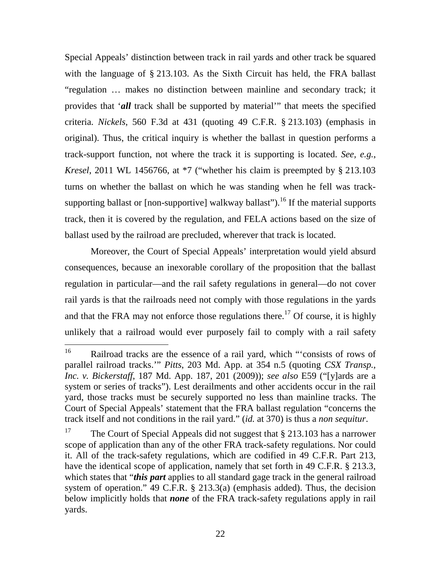Special Appeals' distinction between track in rail yards and other track be squared with the language of § 213.103. As the Sixth Circuit has held, the FRA ballast "regulation … makes no distinction between mainline and secondary track; it provides that '*all* track shall be supported by material'" that meets the specified criteria. *Nickels*, 560 F.3d at 431 (quoting 49 C.F.R. § 213.103) (emphasis in original). Thus, the critical inquiry is whether the ballast in question performs a track-support function, not where the track it is supporting is located. *See, e.g.*, *Kresel*, 2011 WL 1456766, at \*7 ("whether his claim is preempted by § 213.103 turns on whether the ballast on which he was standing when he fell was tracksupporting ballast or  $[non-supportive]$  walkway ballast").<sup>16</sup> If the material supports track, then it is covered by the regulation, and FELA actions based on the size of ballast used by the railroad are precluded, wherever that track is located.

Moreover, the Court of Special Appeals' interpretation would yield absurd consequences, because an inexorable corollary of the proposition that the ballast regulation in particular—and the rail safety regulations in general—do not cover rail yards is that the railroads need not comply with those regulations in the yards and that the FRA may not enforce those regulations there.<sup>17</sup> Of course, it is highly unlikely that a railroad would ever purposely fail to comply with a rail safety

<sup>16</sup> Railroad tracks are the essence of a rail yard, which "'consists of rows of parallel railroad tracks.'" *Pitts*, 203 Md. App. at 354 n.5 (quoting *CSX Transp., Inc. v. Bickerstaff*, 187 Md. App. 187, 201 (2009)); *see also* E59 ("[y]ards are a system or series of tracks"). Lest derailments and other accidents occur in the rail yard, those tracks must be securely supported no less than mainline tracks. The Court of Special Appeals' statement that the FRA ballast regulation "concerns the track itself and not conditions in the rail yard." (*id.* at 370) is thus a *non sequitur*.

<sup>&</sup>lt;sup>17</sup> The Court of Special Appeals did not suggest that  $\S$  213.103 has a narrower scope of application than any of the other FRA track-safety regulations. Nor could it. All of the track-safety regulations, which are codified in 49 C.F.R. Part 213, have the identical scope of application, namely that set forth in 49 C.F.R. § 213.3, which states that "*this part* applies to all standard gage track in the general railroad system of operation." 49 C.F.R. § 213.3(a) (emphasis added). Thus, the decision below implicitly holds that *none* of the FRA track-safety regulations apply in rail yards.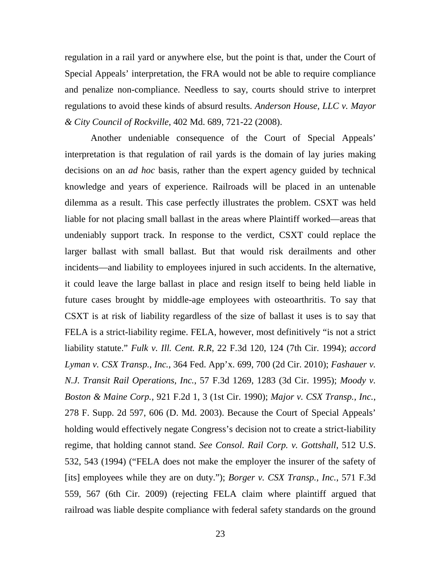regulation in a rail yard or anywhere else, but the point is that, under the Court of Special Appeals' interpretation, the FRA would not be able to require compliance and penalize non-compliance. Needless to say, courts should strive to interpret regulations to avoid these kinds of absurd results. *Anderson House, LLC v. Mayor & City Council of Rockville*, 402 Md. 689, 721-22 (2008).

Another undeniable consequence of the Court of Special Appeals' interpretation is that regulation of rail yards is the domain of lay juries making decisions on an *ad hoc* basis, rather than the expert agency guided by technical knowledge and years of experience. Railroads will be placed in an untenable dilemma as a result. This case perfectly illustrates the problem. CSXT was held liable for not placing small ballast in the areas where Plaintiff worked—areas that undeniably support track. In response to the verdict, CSXT could replace the larger ballast with small ballast. But that would risk derailments and other incidents—and liability to employees injured in such accidents. In the alternative, it could leave the large ballast in place and resign itself to being held liable in future cases brought by middle-age employees with osteoarthritis. To say that CSXT is at risk of liability regardless of the size of ballast it uses is to say that FELA is a strict-liability regime. FELA, however, most definitively "is not a strict liability statute." *Fulk v. Ill. Cent. R.R*, 22 F.3d 120, 124 (7th Cir. 1994); *accord Lyman v. CSX Transp., Inc.*, 364 Fed. App'x. 699, 700 (2d Cir. 2010); *Fashauer v. N.J. Transit Rail Operations, Inc.*, 57 F.3d 1269, 1283 (3d Cir. 1995); *Moody v. Boston & Maine Corp.*, 921 F.2d 1, 3 (1st Cir. 1990); *Major v. CSX Transp., Inc.*, 278 F. Supp. 2d 597, 606 (D. Md. 2003). Because the Court of Special Appeals' holding would effectively negate Congress's decision not to create a strict-liability regime, that holding cannot stand. *See Consol. Rail Corp. v. Gottshall*, 512 U.S. 532, 543 (1994) ("FELA does not make the employer the insurer of the safety of [its] employees while they are on duty."); *Borger v. CSX Transp., Inc.*, 571 F.3d 559, 567 (6th Cir. 2009) (rejecting FELA claim where plaintiff argued that railroad was liable despite compliance with federal safety standards on the ground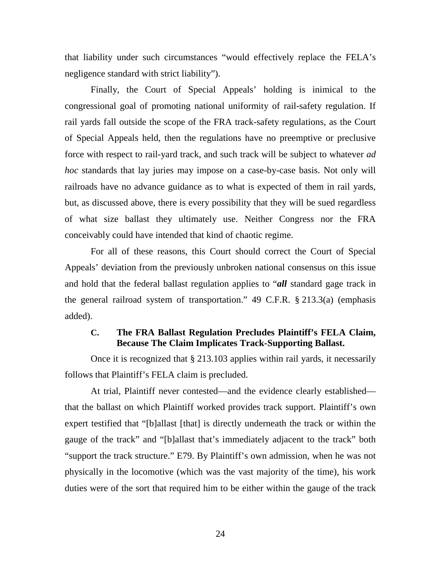that liability under such circumstances "would effectively replace the FELA's negligence standard with strict liability").

Finally, the Court of Special Appeals' holding is inimical to the congressional goal of promoting national uniformity of rail-safety regulation. If rail yards fall outside the scope of the FRA track-safety regulations, as the Court of Special Appeals held, then the regulations have no preemptive or preclusive force with respect to rail-yard track, and such track will be subject to whatever *ad hoc* standards that lay juries may impose on a case-by-case basis. Not only will railroads have no advance guidance as to what is expected of them in rail yards, but, as discussed above, there is every possibility that they will be sued regardless of what size ballast they ultimately use. Neither Congress nor the FRA conceivably could have intended that kind of chaotic regime.

For all of these reasons, this Court should correct the Court of Special Appeals' deviation from the previously unbroken national consensus on this issue and hold that the federal ballast regulation applies to "*all* standard gage track in the general railroad system of transportation." 49 C.F.R. § 213.3(a) (emphasis added).

## **C. The FRA Ballast Regulation Precludes Plaintiff's FELA Claim, Because The Claim Implicates Track-Supporting Ballast.**

Once it is recognized that § 213.103 applies within rail yards, it necessarily follows that Plaintiff's FELA claim is precluded.

At trial, Plaintiff never contested—and the evidence clearly established that the ballast on which Plaintiff worked provides track support. Plaintiff's own expert testified that "[b]allast [that] is directly underneath the track or within the gauge of the track" and "[b]allast that's immediately adjacent to the track" both "support the track structure." E79. By Plaintiff's own admission, when he was not physically in the locomotive (which was the vast majority of the time), his work duties were of the sort that required him to be either within the gauge of the track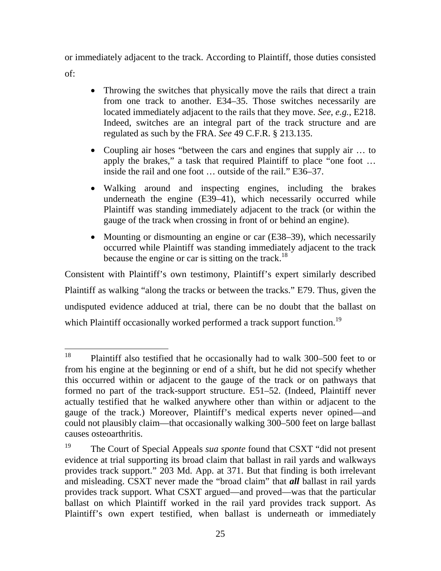or immediately adjacent to the track. According to Plaintiff, those duties consisted

of:

- Throwing the switches that physically move the rails that direct a train from one track to another. E34–35. Those switches necessarily are located immediately adjacent to the rails that they move. *See, e.g.*, E218. Indeed, switches are an integral part of the track structure and are regulated as such by the FRA. *See* 49 C.F.R. § 213.135.
- Coupling air hoses "between the cars and engines that supply air … to apply the brakes," a task that required Plaintiff to place "one foot … inside the rail and one foot … outside of the rail." E36–37.
- Walking around and inspecting engines, including the brakes underneath the engine (E39–41), which necessarily occurred while Plaintiff was standing immediately adjacent to the track (or within the gauge of the track when crossing in front of or behind an engine).
- Mounting or dismounting an engine or car (E38–39), which necessarily occurred while Plaintiff was standing immediately adjacent to the track because the engine or car is sitting on the track.<sup>18</sup>

Consistent with Plaintiff's own testimony, Plaintiff's expert similarly described Plaintiff as walking "along the tracks or between the tracks." E79. Thus, given the undisputed evidence adduced at trial, there can be no doubt that the ballast on which Plaintiff occasionally worked performed a track support function.<sup>19</sup>

<sup>&</sup>lt;sup>18</sup> Plaintiff also testified that he occasionally had to walk 300–500 feet to or from his engine at the beginning or end of a shift, but he did not specify whether this occurred within or adjacent to the gauge of the track or on pathways that formed no part of the track-support structure. E51–52. (Indeed, Plaintiff never actually testified that he walked anywhere other than within or adjacent to the gauge of the track.) Moreover, Plaintiff's medical experts never opined—and could not plausibly claim—that occasionally walking 300–500 feet on large ballast causes osteoarthritis.

<sup>&</sup>lt;sup>19</sup> The Court of Special Appeals *sua sponte* found that CSXT "did not present" evidence at trial supporting its broad claim that ballast in rail yards and walkways provides track support." 203 Md. App. at 371. But that finding is both irrelevant and misleading. CSXT never made the "broad claim" that *all* ballast in rail yards provides track support. What CSXT argued—and proved—was that the particular ballast on which Plaintiff worked in the rail yard provides track support. As Plaintiff's own expert testified, when ballast is underneath or immediately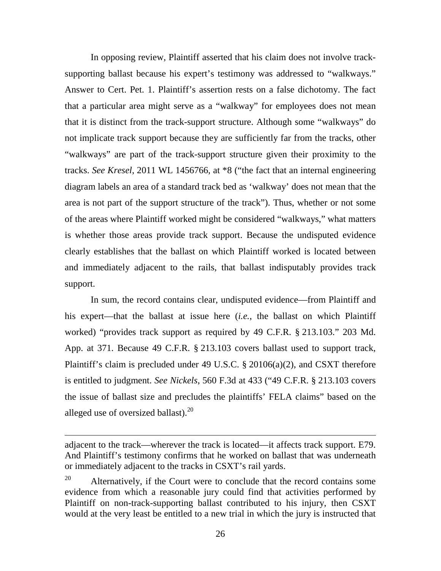In opposing review, Plaintiff asserted that his claim does not involve tracksupporting ballast because his expert's testimony was addressed to "walkways." Answer to Cert. Pet. 1. Plaintiff's assertion rests on a false dichotomy. The fact that a particular area might serve as a "walkway" for employees does not mean that it is distinct from the track-support structure. Although some "walkways" do not implicate track support because they are sufficiently far from the tracks, other "walkways" are part of the track-support structure given their proximity to the tracks. *See Kresel*, 2011 WL 1456766, at \*8 ("the fact that an internal engineering diagram labels an area of a standard track bed as 'walkway' does not mean that the area is not part of the support structure of the track"). Thus, whether or not some of the areas where Plaintiff worked might be considered "walkways," what matters is whether those areas provide track support. Because the undisputed evidence clearly establishes that the ballast on which Plaintiff worked is located between and immediately adjacent to the rails, that ballast indisputably provides track support.

In sum, the record contains clear, undisputed evidence—from Plaintiff and his expert—that the ballast at issue here (*i.e.*, the ballast on which Plaintiff worked) "provides track support as required by 49 C.F.R. § 213.103." 203 Md. App. at 371. Because 49 C.F.R. § 213.103 covers ballast used to support track, Plaintiff's claim is precluded under 49 U.S.C. § 20106(a)(2), and CSXT therefore is entitled to judgment. *See Nickels*, 560 F.3d at 433 ("49 C.F.R. § 213.103 covers the issue of ballast size and precludes the plaintiffs' FELA claims" based on the alleged use of oversized ballast).<sup>20</sup>

adjacent to the track—wherever the track is located—it affects track support. E79. And Plaintiff's testimony confirms that he worked on ballast that was underneath or immediately adjacent to the tracks in CSXT's rail yards.

<sup>&</sup>lt;sup>20</sup> Alternatively, if the Court were to conclude that the record contains some evidence from which a reasonable jury could find that activities performed by Plaintiff on non-track-supporting ballast contributed to his injury, then CSXT would at the very least be entitled to a new trial in which the jury is instructed that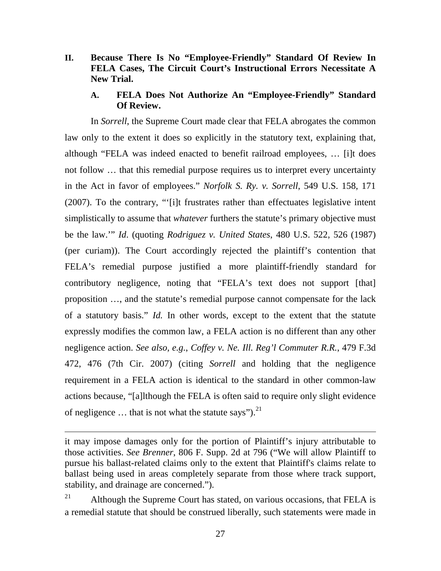- **II. Because There Is No "Employee-Friendly" Standard Of Review In FELA Cases, The Circuit Court's Instructional Errors Necessitate A New Trial.**
	- **A. FELA Does Not Authorize An "Employee-Friendly" Standard Of Review.**

In *Sorrell*, the Supreme Court made clear that FELA abrogates the common law only to the extent it does so explicitly in the statutory text, explaining that, although "FELA was indeed enacted to benefit railroad employees, … [i]t does not follow … that this remedial purpose requires us to interpret every uncertainty in the Act in favor of employees." *Norfolk S. Ry. v. Sorrell*, 549 U.S. 158, 171 (2007). To the contrary, "'[i]t frustrates rather than effectuates legislative intent simplistically to assume that *whatever* furthers the statute's primary objective must be the law.'" *Id*. (quoting *Rodriguez v. United States*, 480 U.S. 522, 526 (1987) (per curiam)). The Court accordingly rejected the plaintiff's contention that FELA's remedial purpose justified a more plaintiff-friendly standard for contributory negligence, noting that "FELA's text does not support [that] proposition …, and the statute's remedial purpose cannot compensate for the lack of a statutory basis." *Id.* In other words, except to the extent that the statute expressly modifies the common law, a FELA action is no different than any other negligence action. *See also, e.g.*, *Coffey v. Ne. Ill. Reg'l Commuter R.R.*, 479 F.3d 472, 476 (7th Cir. 2007) (citing *Sorrell* and holding that the negligence requirement in a FELA action is identical to the standard in other common-law actions because, "[a]lthough the FELA is often said to require only slight evidence of negligence  $\ldots$  that is not what the statute says").<sup>21</sup>

it may impose damages only for the portion of Plaintiff's injury attributable to those activities. *See Brenner*, 806 F. Supp. 2d at 796 ("We will allow Plaintiff to pursue his ballast-related claims only to the extent that Plaintiff's claims relate to ballast being used in areas completely separate from those where track support, stability, and drainage are concerned.").

<sup>&</sup>lt;sup>21</sup> Although the Supreme Court has stated, on various occasions, that FELA is a remedial statute that should be construed liberally, such statements were made in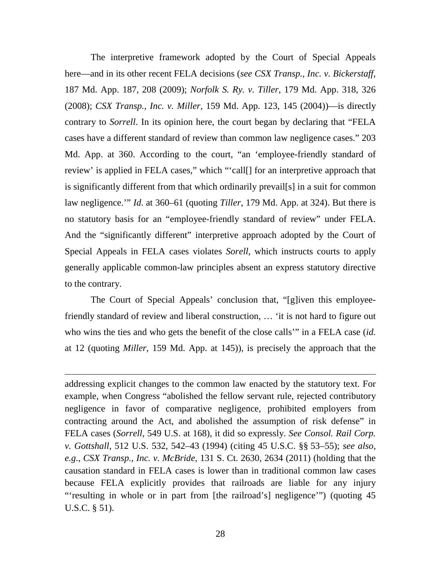The interpretive framework adopted by the Court of Special Appeals here—and in its other recent FELA decisions (*see CSX Transp., Inc. v. Bickerstaff*, 187 Md. App. 187, 208 (2009); *Norfolk S. Ry. v. Tiller*, 179 Md. App. 318, 326 (2008); *CSX Transp., Inc. v. Miller*, 159 Md. App. 123, 145 (2004))—is directly contrary to *Sorrell*. In its opinion here, the court began by declaring that "FELA cases have a different standard of review than common law negligence cases." 203 Md. App. at 360. According to the court, "an 'employee-friendly standard of review' is applied in FELA cases," which "'call[] for an interpretive approach that is significantly different from that which ordinarily prevail[s] in a suit for common law negligence.'" *Id*. at 360–61 (quoting *Tiller*, 179 Md. App. at 324). But there is no statutory basis for an "employee-friendly standard of review" under FELA. And the "significantly different" interpretive approach adopted by the Court of Special Appeals in FELA cases violates *Sorell*, which instructs courts to apply generally applicable common-law principles absent an express statutory directive to the contrary.

The Court of Special Appeals' conclusion that, "[g]iven this employeefriendly standard of review and liberal construction, … 'it is not hard to figure out who wins the ties and who gets the benefit of the close calls'" in a FELA case (*id.* at 12 (quoting *Miller*, 159 Md. App. at 145)), is precisely the approach that the

addressing explicit changes to the common law enacted by the statutory text. For example, when Congress "abolished the fellow servant rule, rejected contributory negligence in favor of comparative negligence, prohibited employers from contracting around the Act, and abolished the assumption of risk defense" in FELA cases (*Sorrell*, 549 U.S. at 168), it did so expressly. *See Consol. Rail Corp. v. Gottshall*, 512 U.S. 532, 542–43 (1994) (citing 45 U.S.C. §§ 53–55); *see also, e.g.*, *CSX Transp., Inc. v. McBride*, 131 S. Ct. 2630, 2634 (2011) (holding that the causation standard in FELA cases is lower than in traditional common law cases because FELA explicitly provides that railroads are liable for any injury "'resulting in whole or in part from [the railroad's] negligence'") (quoting 45 U.S.C. § 51).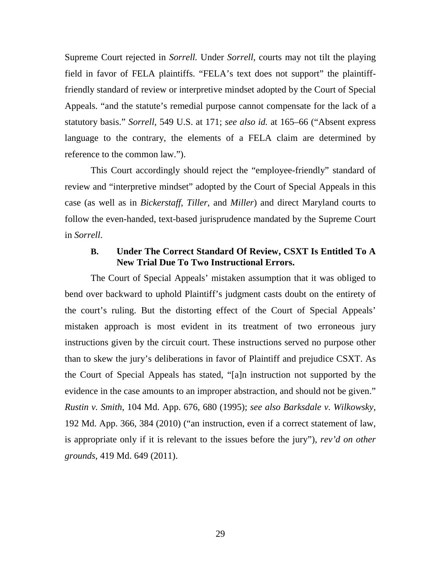Supreme Court rejected in *Sorrell.* Under *Sorrell*, courts may not tilt the playing field in favor of FELA plaintiffs. "FELA's text does not support" the plaintifffriendly standard of review or interpretive mindset adopted by the Court of Special Appeals. "and the statute's remedial purpose cannot compensate for the lack of a statutory basis." *Sorrell*, 549 U.S. at 171; *see also id.* at 165–66 ("Absent express language to the contrary, the elements of a FELA claim are determined by reference to the common law.").

This Court accordingly should reject the "employee-friendly" standard of review and "interpretive mindset" adopted by the Court of Special Appeals in this case (as well as in *Bickerstaff*, *Tiller*, and *Miller*) and direct Maryland courts to follow the even-handed, text-based jurisprudence mandated by the Supreme Court in *Sorrell*.

## **B. Under The Correct Standard Of Review, CSXT Is Entitled To A New Trial Due To Two Instructional Errors.**

The Court of Special Appeals' mistaken assumption that it was obliged to bend over backward to uphold Plaintiff's judgment casts doubt on the entirety of the court's ruling. But the distorting effect of the Court of Special Appeals' mistaken approach is most evident in its treatment of two erroneous jury instructions given by the circuit court. These instructions served no purpose other than to skew the jury's deliberations in favor of Plaintiff and prejudice CSXT. As the Court of Special Appeals has stated, "[a]n instruction not supported by the evidence in the case amounts to an improper abstraction, and should not be given." *Rustin v. Smith*, 104 Md. App. 676, 680 (1995); *see also Barksdale v. Wilkowsky*, 192 Md. App. 366, 384 (2010) ("an instruction, even if a correct statement of law, is appropriate only if it is relevant to the issues before the jury"), *rev'd on other grounds*, 419 Md. 649 (2011).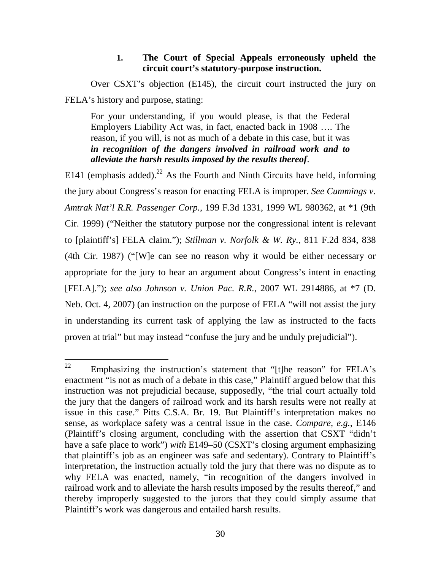### **1. The Court of Special Appeals erroneously upheld the circuit court's statutory-purpose instruction.**

Over CSXT's objection (E145), the circuit court instructed the jury on FELA's history and purpose, stating:

For your understanding, if you would please, is that the Federal Employers Liability Act was, in fact, enacted back in 1908 …. The reason, if you will, is not as much of a debate in this case, but it was *in recognition of the dangers involved in railroad work and to alleviate the harsh results imposed by the results thereof*.

E141 (emphasis added).<sup>22</sup> As the Fourth and Ninth Circuits have held, informing the jury about Congress's reason for enacting FELA is improper. *See Cummings v. Amtrak Nat'l R.R. Passenger Corp.*, 199 F.3d 1331, 1999 WL 980362, at \*1 (9th Cir. 1999) ("Neither the statutory purpose nor the congressional intent is relevant to [plaintiff's] FELA claim."); *Stillman v. Norfolk & W. Ry.*, 811 F.2d 834, 838 (4th Cir. 1987) ("[W]e can see no reason why it would be either necessary or appropriate for the jury to hear an argument about Congress's intent in enacting [FELA]."); *see also Johnson v. Union Pac. R.R.*, 2007 WL 2914886, at \*7 (D. Neb. Oct. 4, 2007) (an instruction on the purpose of FELA "will not assist the jury in understanding its current task of applying the law as instructed to the facts proven at trial" but may instead "confuse the jury and be unduly prejudicial").

<sup>&</sup>lt;sup>22</sup> Emphasizing the instruction's statement that "[t]he reason" for FELA's enactment "is not as much of a debate in this case," Plaintiff argued below that this instruction was not prejudicial because, supposedly, "the trial court actually told the jury that the dangers of railroad work and its harsh results were not really at issue in this case." Pitts C.S.A. Br. 19. But Plaintiff's interpretation makes no sense, as workplace safety was a central issue in the case. *Compare, e.g.*, E146 (Plaintiff's closing argument, concluding with the assertion that CSXT "didn't have a safe place to work") *with* E149–50 (CSXT's closing argument emphasizing that plaintiff's job as an engineer was safe and sedentary). Contrary to Plaintiff's interpretation, the instruction actually told the jury that there was no dispute as to why FELA was enacted, namely, "in recognition of the dangers involved in railroad work and to alleviate the harsh results imposed by the results thereof," and thereby improperly suggested to the jurors that they could simply assume that Plaintiff's work was dangerous and entailed harsh results.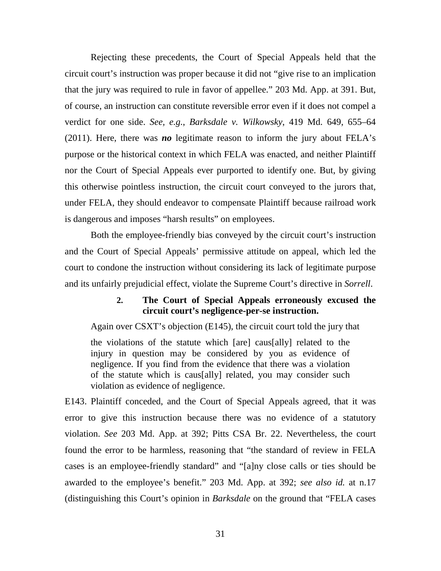Rejecting these precedents, the Court of Special Appeals held that the circuit court's instruction was proper because it did not "give rise to an implication that the jury was required to rule in favor of appellee." 203 Md. App. at 391. But, of course, an instruction can constitute reversible error even if it does not compel a verdict for one side. *See, e.g.*, *Barksdale v. Wilkowsky*, 419 Md. 649, 655–64 (2011). Here, there was *no* legitimate reason to inform the jury about FELA's purpose or the historical context in which FELA was enacted, and neither Plaintiff nor the Court of Special Appeals ever purported to identify one. But, by giving this otherwise pointless instruction, the circuit court conveyed to the jurors that, under FELA, they should endeavor to compensate Plaintiff because railroad work is dangerous and imposes "harsh results" on employees.

Both the employee-friendly bias conveyed by the circuit court's instruction and the Court of Special Appeals' permissive attitude on appeal, which led the court to condone the instruction without considering its lack of legitimate purpose and its unfairly prejudicial effect, violate the Supreme Court's directive in *Sorrell*.

## **2. The Court of Special Appeals erroneously excused the circuit court's negligence-per-se instruction.**

Again over CSXT's objection (E145), the circuit court told the jury that

the violations of the statute which [are] caus[ally] related to the injury in question may be considered by you as evidence of negligence. If you find from the evidence that there was a violation of the statute which is caus[ally] related, you may consider such violation as evidence of negligence.

E143. Plaintiff conceded, and the Court of Special Appeals agreed, that it was error to give this instruction because there was no evidence of a statutory violation. *See* 203 Md. App. at 392; Pitts CSA Br. 22. Nevertheless, the court found the error to be harmless, reasoning that "the standard of review in FELA cases is an employee-friendly standard" and "[a]ny close calls or ties should be awarded to the employee's benefit." 203 Md. App. at 392; *see also id.* at n.17 (distinguishing this Court's opinion in *Barksdale* on the ground that "FELA cases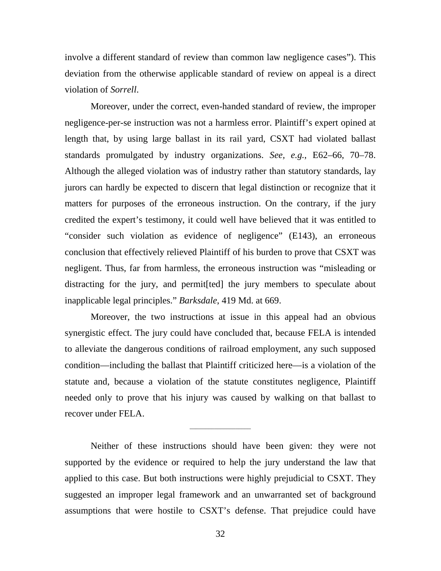involve a different standard of review than common law negligence cases"). This deviation from the otherwise applicable standard of review on appeal is a direct violation of *Sorrell*.

Moreover, under the correct, even-handed standard of review, the improper negligence-per-se instruction was not a harmless error. Plaintiff's expert opined at length that, by using large ballast in its rail yard, CSXT had violated ballast standards promulgated by industry organizations. *See, e.g.*, E62–66, 70–78. Although the alleged violation was of industry rather than statutory standards, lay jurors can hardly be expected to discern that legal distinction or recognize that it matters for purposes of the erroneous instruction. On the contrary, if the jury credited the expert's testimony, it could well have believed that it was entitled to "consider such violation as evidence of negligence" (E143), an erroneous conclusion that effectively relieved Plaintiff of his burden to prove that CSXT was negligent. Thus, far from harmless, the erroneous instruction was "misleading or distracting for the jury, and permit[ted] the jury members to speculate about inapplicable legal principles." *Barksdale*, 419 Md. at 669.

Moreover, the two instructions at issue in this appeal had an obvious synergistic effect. The jury could have concluded that, because FELA is intended to alleviate the dangerous conditions of railroad employment, any such supposed condition—including the ballast that Plaintiff criticized here—is a violation of the statute and, because a violation of the statute constitutes negligence, Plaintiff needed only to prove that his injury was caused by walking on that ballast to recover under FELA.

Neither of these instructions should have been given: they were not supported by the evidence or required to help the jury understand the law that applied to this case. But both instructions were highly prejudicial to CSXT. They suggested an improper legal framework and an unwarranted set of background assumptions that were hostile to CSXT's defense. That prejudice could have

\_\_\_\_\_\_\_\_\_\_\_\_\_\_\_\_\_\_\_\_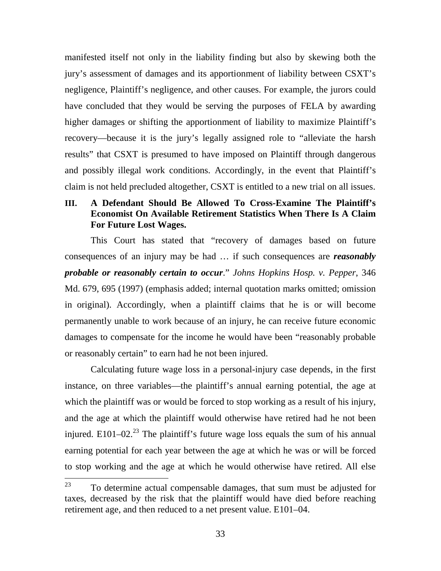manifested itself not only in the liability finding but also by skewing both the jury's assessment of damages and its apportionment of liability between CSXT's negligence, Plaintiff's negligence, and other causes. For example, the jurors could have concluded that they would be serving the purposes of FELA by awarding higher damages or shifting the apportionment of liability to maximize Plaintiff's recovery—because it is the jury's legally assigned role to "alleviate the harsh results" that CSXT is presumed to have imposed on Plaintiff through dangerous and possibly illegal work conditions. Accordingly, in the event that Plaintiff's claim is not held precluded altogether, CSXT is entitled to a new trial on all issues.

## **III. A Defendant Should Be Allowed To Cross-Examine The Plaintiff's Economist On Available Retirement Statistics When There Is A Claim For Future Lost Wages.**

This Court has stated that "recovery of damages based on future consequences of an injury may be had … if such consequences are *reasonably probable or reasonably certain to occur*." *Johns Hopkins Hosp. v. Pepper*, 346 Md. 679, 695 (1997) (emphasis added; internal quotation marks omitted; omission in original). Accordingly, when a plaintiff claims that he is or will become permanently unable to work because of an injury, he can receive future economic damages to compensate for the income he would have been "reasonably probable or reasonably certain" to earn had he not been injured.

Calculating future wage loss in a personal-injury case depends, in the first instance, on three variables—the plaintiff's annual earning potential, the age at which the plaintiff was or would be forced to stop working as a result of his injury, and the age at which the plaintiff would otherwise have retired had he not been injured. E101–02.<sup>23</sup> The plaintiff's future wage loss equals the sum of his annual earning potential for each year between the age at which he was or will be forced to stop working and the age at which he would otherwise have retired. All else

 $23$  To determine actual compensable damages, that sum must be adjusted for taxes, decreased by the risk that the plaintiff would have died before reaching retirement age, and then reduced to a net present value. E101–04.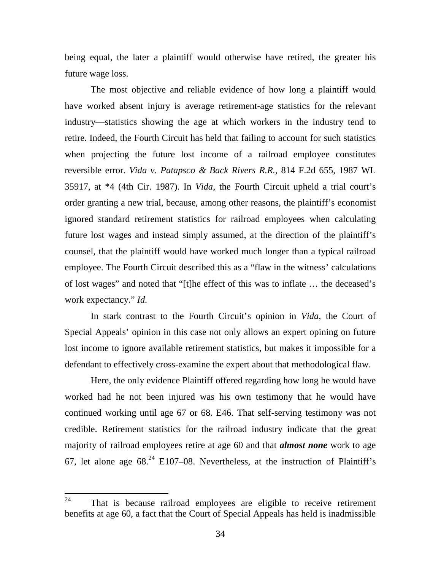being equal, the later a plaintiff would otherwise have retired, the greater his future wage loss.

The most objective and reliable evidence of how long a plaintiff would have worked absent injury is average retirement-age statistics for the relevant industry—statistics showing the age at which workers in the industry tend to retire. Indeed, the Fourth Circuit has held that failing to account for such statistics when projecting the future lost income of a railroad employee constitutes reversible error. *Vida v. Patapsco & Back Rivers R.R.*, 814 F.2d 655, 1987 WL 35917, at \*4 (4th Cir. 1987). In *Vida*, the Fourth Circuit upheld a trial court's order granting a new trial, because, among other reasons, the plaintiff's economist ignored standard retirement statistics for railroad employees when calculating future lost wages and instead simply assumed, at the direction of the plaintiff's counsel, that the plaintiff would have worked much longer than a typical railroad employee. The Fourth Circuit described this as a "flaw in the witness' calculations of lost wages" and noted that "[t]he effect of this was to inflate … the deceased's work expectancy." *Id.*

In stark contrast to the Fourth Circuit's opinion in *Vida*, the Court of Special Appeals' opinion in this case not only allows an expert opining on future lost income to ignore available retirement statistics, but makes it impossible for a defendant to effectively cross-examine the expert about that methodological flaw.

Here, the only evidence Plaintiff offered regarding how long he would have worked had he not been injured was his own testimony that he would have continued working until age 67 or 68. E46. That self-serving testimony was not credible. Retirement statistics for the railroad industry indicate that the great majority of railroad employees retire at age 60 and that *almost none* work to age 67, let alone age  $68<sup>24</sup>$  E107–08. Nevertheless, at the instruction of Plaintiff's

 $24$  That is because railroad employees are eligible to receive retirement benefits at age 60, a fact that the Court of Special Appeals has held is inadmissible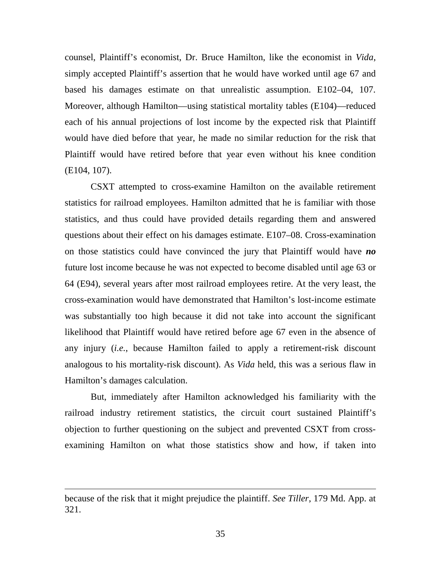counsel, Plaintiff's economist, Dr. Bruce Hamilton, like the economist in *Vida*, simply accepted Plaintiff's assertion that he would have worked until age 67 and based his damages estimate on that unrealistic assumption. E102–04, 107. Moreover, although Hamilton—using statistical mortality tables (E104)—reduced each of his annual projections of lost income by the expected risk that Plaintiff would have died before that year, he made no similar reduction for the risk that Plaintiff would have retired before that year even without his knee condition (E104, 107).

CSXT attempted to cross-examine Hamilton on the available retirement statistics for railroad employees. Hamilton admitted that he is familiar with those statistics, and thus could have provided details regarding them and answered questions about their effect on his damages estimate. E107–08. Cross-examination on those statistics could have convinced the jury that Plaintiff would have *no* future lost income because he was not expected to become disabled until age 63 or 64 (E94), several years after most railroad employees retire. At the very least, the cross-examination would have demonstrated that Hamilton's lost-income estimate was substantially too high because it did not take into account the significant likelihood that Plaintiff would have retired before age 67 even in the absence of any injury (*i.e.*, because Hamilton failed to apply a retirement-risk discount analogous to his mortality-risk discount). As *Vida* held, this was a serious flaw in Hamilton's damages calculation.

But, immediately after Hamilton acknowledged his familiarity with the railroad industry retirement statistics, the circuit court sustained Plaintiff's objection to further questioning on the subject and prevented CSXT from crossexamining Hamilton on what those statistics show and how, if taken into

because of the risk that it might prejudice the plaintiff. *See Tiller*, 179 Md. App. at 321.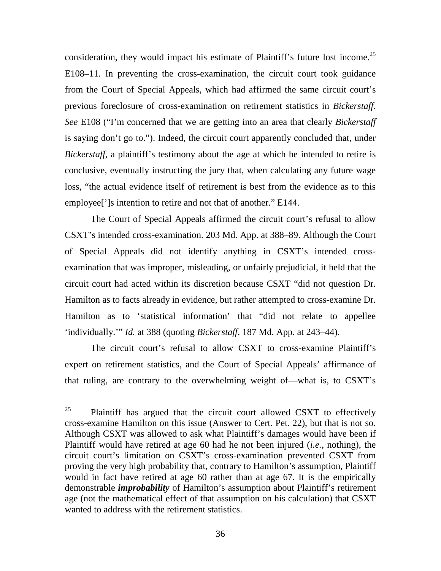consideration, they would impact his estimate of Plaintiff's future lost income.<sup>25</sup> E108–11. In preventing the cross-examination, the circuit court took guidance from the Court of Special Appeals, which had affirmed the same circuit court's previous foreclosure of cross-examination on retirement statistics in *Bickerstaff*. *See* E108 ("I'm concerned that we are getting into an area that clearly *Bickerstaff* is saying don't go to."). Indeed, the circuit court apparently concluded that, under *Bickerstaff*, a plaintiff's testimony about the age at which he intended to retire is conclusive, eventually instructing the jury that, when calculating any future wage loss, "the actual evidence itself of retirement is best from the evidence as to this employee[']s intention to retire and not that of another." E144.

The Court of Special Appeals affirmed the circuit court's refusal to allow CSXT's intended cross-examination. 203 Md. App. at 388–89. Although the Court of Special Appeals did not identify anything in CSXT's intended crossexamination that was improper, misleading, or unfairly prejudicial, it held that the circuit court had acted within its discretion because CSXT "did not question Dr. Hamilton as to facts already in evidence, but rather attempted to cross-examine Dr. Hamilton as to 'statistical information' that "did not relate to appellee 'individually.'" *Id.* at 388 (quoting *Bickerstaff*, 187 Md. App. at 243–44).

The circuit court's refusal to allow CSXT to cross-examine Plaintiff's expert on retirement statistics, and the Court of Special Appeals' affirmance of that ruling, are contrary to the overwhelming weight of—what is, to CSXT's

 $25$  Plaintiff has argued that the circuit court allowed CSXT to effectively cross-examine Hamilton on this issue (Answer to Cert. Pet. 22), but that is not so. Although CSXT was allowed to ask what Plaintiff's damages would have been if Plaintiff would have retired at age 60 had he not been injured (*i.e.*, nothing), the circuit court's limitation on CSXT's cross-examination prevented CSXT from proving the very high probability that, contrary to Hamilton's assumption, Plaintiff would in fact have retired at age 60 rather than at age 67. It is the empirically demonstrable *improbability* of Hamilton's assumption about Plaintiff's retirement age (not the mathematical effect of that assumption on his calculation) that CSXT wanted to address with the retirement statistics.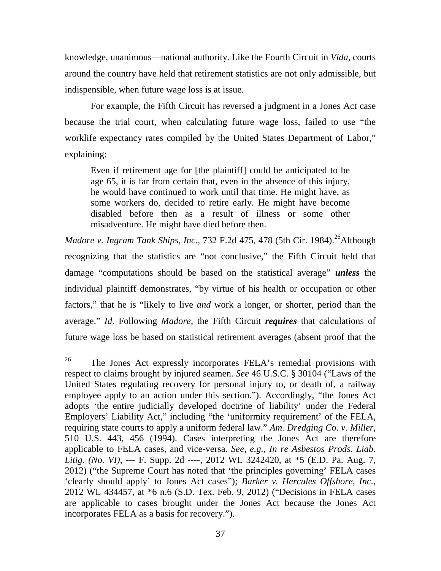knowledge, unanimous—national authority. Like the Fourth Circuit in *Vida*, courts around the country have held that retirement statistics are not only admissible, but indispensible, when future wage loss is at issue.

For example, the Fifth Circuit has reversed a judgment in a Jones Act case because the trial court, when calculating future wage loss, failed to use "the worklife expectancy rates compiled by the United States Department of Labor," explaining:

Even if retirement age for [the plaintiff] could be anticipated to be age 65, it is far from certain that, even in the absence of this injury, he would have continued to work until that time. He might have, as some workers do, decided to retire early. He might have become disabled before then as a result of illness or some other misadventure. He might have died before then.

*Madore v. Ingram Tank Ships, Inc., 732 F.2d 475, 478 (5th Cir. 1984).*<sup>26</sup>Although recognizing that the statistics are "not conclusive," the Fifth Circuit held that damage "computations should be based on the statistical average" *unless* the individual plaintiff demonstrates, "by virtue of his health or occupation or other factors," that he is "likely to live *and* work a longer, or shorter, period than the average." *Id*. Following *Madore*, the Fifth Circuit *requires* that calculations of future wage loss be based on statistical retirement averages (absent proof that the

<sup>&</sup>lt;sup>26</sup> The Jones Act expressly incorporates FELA's remedial provisions with respect to claims brought by injured seamen. *See* 46 U.S.C. § 30104 ("Laws of the United States regulating recovery for personal injury to, or death of, a railway employee apply to an action under this section."). Accordingly, "the Jones Act adopts 'the entire judicially developed doctrine of liability' under the Federal Employers' Liability Act," including "the 'uniformity requirement' of the FELA, requiring state courts to apply a uniform federal law." *Am. Dredging Co. v. Miller*, 510 U.S. 443, 456 (1994). Cases interpreting the Jones Act are therefore applicable to FELA cases, and vice-versa. *See, e.g.*, *In re Asbestos Prods. Liab. Litig. (No. VI)*, --- F. Supp. 2d ----, 2012 WL 3242420, at \*5 (E.D. Pa. Aug. 7, 2012) ("the Supreme Court has noted that 'the principles governing' FELA cases 'clearly should apply' to Jones Act cases"); *Barker v. Hercules Offshore, Inc.*, 2012 WL 434457, at \*6 n.6 (S.D. Tex. Feb. 9, 2012) ("Decisions in FELA cases are applicable to cases brought under the Jones Act because the Jones Act incorporates FELA as a basis for recovery.").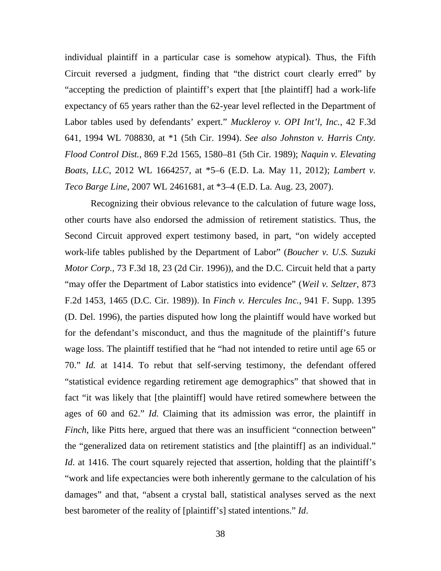individual plaintiff in a particular case is somehow atypical). Thus, the Fifth Circuit reversed a judgment, finding that "the district court clearly erred" by "accepting the prediction of plaintiff's expert that [the plaintiff] had a work-life expectancy of 65 years rather than the 62-year level reflected in the Department of Labor tables used by defendants' expert." *Muckleroy v. OPI Int'l, Inc.*, 42 F.3d 641, 1994 WL 708830, at \*1 (5th Cir. 1994). *See also Johnston v. Harris Cnty. Flood Control Dist.*, 869 F.2d 1565, 1580–81 (5th Cir. 1989); *Naquin v. Elevating Boats, LLC*, 2012 WL 1664257, at \*5–6 (E.D. La. May 11, 2012); *Lambert v. Teco Barge Line*, 2007 WL 2461681, at \*3–4 (E.D. La. Aug. 23, 2007).

Recognizing their obvious relevance to the calculation of future wage loss, other courts have also endorsed the admission of retirement statistics. Thus, the Second Circuit approved expert testimony based, in part, "on widely accepted work-life tables published by the Department of Labor" (*Boucher v. U.S. Suzuki Motor Corp.*, 73 F.3d 18, 23 (2d Cir. 1996)), and the D.C. Circuit held that a party "may offer the Department of Labor statistics into evidence" (*Weil v. Seltzer*, 873 F.2d 1453, 1465 (D.C. Cir. 1989)). In *Finch v. Hercules Inc.*, 941 F. Supp. 1395 (D. Del. 1996), the parties disputed how long the plaintiff would have worked but for the defendant's misconduct, and thus the magnitude of the plaintiff's future wage loss. The plaintiff testified that he "had not intended to retire until age 65 or 70." *Id.* at 1414. To rebut that self-serving testimony, the defendant offered "statistical evidence regarding retirement age demographics" that showed that in fact "it was likely that [the plaintiff] would have retired somewhere between the ages of 60 and 62." *Id.* Claiming that its admission was error, the plaintiff in *Finch*, like Pitts here, argued that there was an insufficient "connection between" the "generalized data on retirement statistics and [the plaintiff] as an individual." *Id.* at 1416. The court squarely rejected that assertion, holding that the plaintiff's "work and life expectancies were both inherently germane to the calculation of his damages" and that, "absent a crystal ball, statistical analyses served as the next best barometer of the reality of [plaintiff's] stated intentions." *Id*.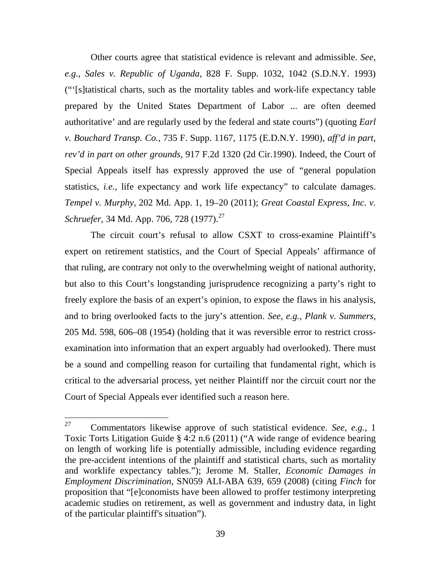Other courts agree that statistical evidence is relevant and admissible. *See*, *e.g.*, *Sales v. Republic of Uganda*, 828 F. Supp. 1032, 1042 (S.D.N.Y. 1993) ("'[s]tatistical charts, such as the mortality tables and work-life expectancy table prepared by the United States Department of Labor ... are often deemed authoritative' and are regularly used by the federal and state courts") (quoting *Earl v. Bouchard Transp. Co.*, 735 F. Supp. 1167, 1175 (E.D.N.Y. 1990), *aff'd in part, rev'd in part on other grounds*, 917 F.2d 1320 (2d Cir.1990). Indeed, the Court of Special Appeals itself has expressly approved the use of "general population statistics, *i.e.*, life expectancy and work life expectancy" to calculate damages. *Tempel v. Murphy*, 202 Md. App. 1, 19–20 (2011); *Great Coastal Express, Inc. v. Schruefer*, 34 Md. App. 706, 728 (1977).<sup>27</sup>

The circuit court's refusal to allow CSXT to cross-examine Plaintiff's expert on retirement statistics, and the Court of Special Appeals' affirmance of that ruling, are contrary not only to the overwhelming weight of national authority, but also to this Court's longstanding jurisprudence recognizing a party's right to freely explore the basis of an expert's opinion, to expose the flaws in his analysis, and to bring overlooked facts to the jury's attention. *See, e.g.*, *Plank v. Summers*, 205 Md. 598, 606–08 (1954) (holding that it was reversible error to restrict crossexamination into information that an expert arguably had overlooked). There must be a sound and compelling reason for curtailing that fundamental right, which is critical to the adversarial process, yet neither Plaintiff nor the circuit court nor the Court of Special Appeals ever identified such a reason here.

<sup>27</sup> Commentators likewise approve of such statistical evidence. *See*, *e.g.*, 1 Toxic Torts Litigation Guide § 4:2 n.6 (2011) ("A wide range of evidence bearing on length of working life is potentially admissible, including evidence regarding the pre-accident intentions of the plaintiff and statistical charts, such as mortality and worklife expectancy tables."); Jerome M. Staller, *Economic Damages in Employment Discrimination*, SN059 ALI-ABA 639, 659 (2008) (citing *Finch* for proposition that "[e]conomists have been allowed to proffer testimony interpreting academic studies on retirement, as well as government and industry data, in light of the particular plaintiff's situation").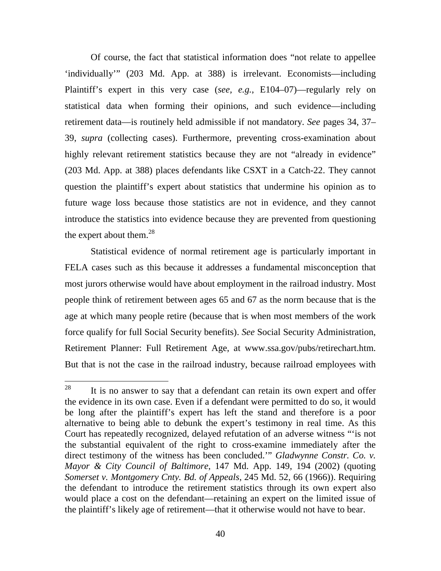Of course, the fact that statistical information does "not relate to appellee 'individually'" (203 Md. App. at 388) is irrelevant. Economists—including Plaintiff's expert in this very case (*see, e.g.*, E104–07)—regularly rely on statistical data when forming their opinions, and such evidence—including retirement data—is routinely held admissible if not mandatory. *See* pages 34, 37– 39, *supra* (collecting cases). Furthermore, preventing cross-examination about highly relevant retirement statistics because they are not "already in evidence" (203 Md. App. at 388) places defendants like CSXT in a Catch-22. They cannot question the plaintiff's expert about statistics that undermine his opinion as to future wage loss because those statistics are not in evidence, and they cannot introduce the statistics into evidence because they are prevented from questioning the expert about them. $^{28}$ 

Statistical evidence of normal retirement age is particularly important in FELA cases such as this because it addresses a fundamental misconception that most jurors otherwise would have about employment in the railroad industry. Most people think of retirement between ages 65 and 67 as the norm because that is the age at which many people retire (because that is when most members of the work force qualify for full Social Security benefits). *See* Social Security Administration, Retirement Planner: Full Retirement Age, at www.ssa.gov/pubs/retirechart.htm. But that is not the case in the railroad industry, because railroad employees with

<sup>&</sup>lt;sup>28</sup> It is no answer to say that a defendant can retain its own expert and offer the evidence in its own case. Even if a defendant were permitted to do so, it would be long after the plaintiff's expert has left the stand and therefore is a poor alternative to being able to debunk the expert's testimony in real time. As this Court has repeatedly recognized, delayed refutation of an adverse witness "'is not the substantial equivalent of the right to cross-examine immediately after the direct testimony of the witness has been concluded.'" *Gladwynne Constr. Co. v. Mayor & City Council of Baltimore*, 147 Md. App. 149, 194 (2002) (quoting *Somerset v. Montgomery Cnty. Bd. of Appeals*, 245 Md. 52, 66 (1966)). Requiring the defendant to introduce the retirement statistics through its own expert also would place a cost on the defendant—retaining an expert on the limited issue of the plaintiff's likely age of retirement—that it otherwise would not have to bear.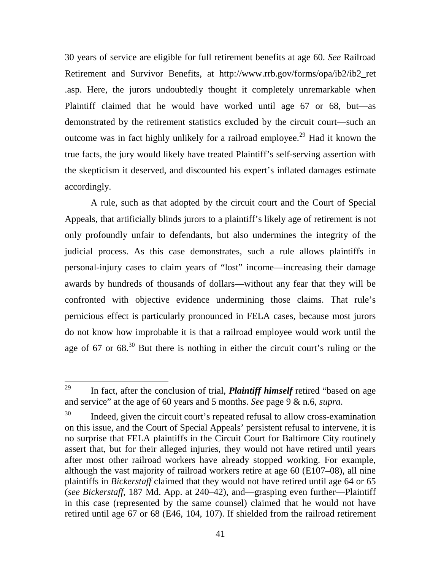30 years of service are eligible for full retirement benefits at age 60. *See* Railroad Retirement and Survivor Benefits, at http://www.rrb.gov/forms/opa/ib2/ib2\_ret .asp. Here, the jurors undoubtedly thought it completely unremarkable when Plaintiff claimed that he would have worked until age 67 or 68, but—as demonstrated by the retirement statistics excluded by the circuit court—such an outcome was in fact highly unlikely for a railroad employee.<sup>29</sup> Had it known the true facts, the jury would likely have treated Plaintiff's self-serving assertion with the skepticism it deserved, and discounted his expert's inflated damages estimate accordingly.

A rule, such as that adopted by the circuit court and the Court of Special Appeals, that artificially blinds jurors to a plaintiff's likely age of retirement is not only profoundly unfair to defendants, but also undermines the integrity of the judicial process. As this case demonstrates, such a rule allows plaintiffs in personal-injury cases to claim years of "lost" income—increasing their damage awards by hundreds of thousands of dollars—without any fear that they will be confronted with objective evidence undermining those claims. That rule's pernicious effect is particularly pronounced in FELA cases, because most jurors do not know how improbable it is that a railroad employee would work until the age of 67 or  $68<sup>30</sup>$  But there is nothing in either the circuit court's ruling or the

<sup>29</sup> In fact, after the conclusion of trial, *Plaintiff himself* retired "based on age and service" at the age of 60 years and 5 months. *See* page 9 & n.6, *supra*.

 $30$  Indeed, given the circuit court's repeated refusal to allow cross-examination on this issue, and the Court of Special Appeals' persistent refusal to intervene, it is no surprise that FELA plaintiffs in the Circuit Court for Baltimore City routinely assert that, but for their alleged injuries, they would not have retired until years after most other railroad workers have already stopped working. For example, although the vast majority of railroad workers retire at age 60 (E107–08), all nine plaintiffs in *Bickerstaff* claimed that they would not have retired until age 64 or 65 (*see Bickerstaff*, 187 Md. App. at 240–42), and—grasping even further—Plaintiff in this case (represented by the same counsel) claimed that he would not have retired until age 67 or 68 (E46, 104, 107). If shielded from the railroad retirement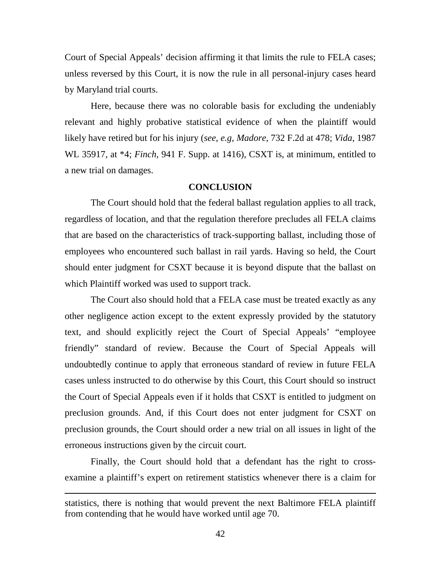Court of Special Appeals' decision affirming it that limits the rule to FELA cases; unless reversed by this Court, it is now the rule in all personal-injury cases heard by Maryland trial courts.

Here, because there was no colorable basis for excluding the undeniably relevant and highly probative statistical evidence of when the plaintiff would likely have retired but for his injury (*see, e.g*, *Madore*, 732 F.2d at 478; *Vida*, 1987 WL 35917, at \*4; *Finch*, 941 F. Supp. at 1416), CSXT is, at minimum, entitled to a new trial on damages.

#### **CONCLUSION**

The Court should hold that the federal ballast regulation applies to all track, regardless of location, and that the regulation therefore precludes all FELA claims that are based on the characteristics of track-supporting ballast, including those of employees who encountered such ballast in rail yards. Having so held, the Court should enter judgment for CSXT because it is beyond dispute that the ballast on which Plaintiff worked was used to support track.

The Court also should hold that a FELA case must be treated exactly as any other negligence action except to the extent expressly provided by the statutory text, and should explicitly reject the Court of Special Appeals' "employee friendly" standard of review. Because the Court of Special Appeals will undoubtedly continue to apply that erroneous standard of review in future FELA cases unless instructed to do otherwise by this Court, this Court should so instruct the Court of Special Appeals even if it holds that CSXT is entitled to judgment on preclusion grounds. And, if this Court does not enter judgment for CSXT on preclusion grounds, the Court should order a new trial on all issues in light of the erroneous instructions given by the circuit court.

Finally, the Court should hold that a defendant has the right to crossexamine a plaintiff's expert on retirement statistics whenever there is a claim for

statistics, there is nothing that would prevent the next Baltimore FELA plaintiff from contending that he would have worked until age 70.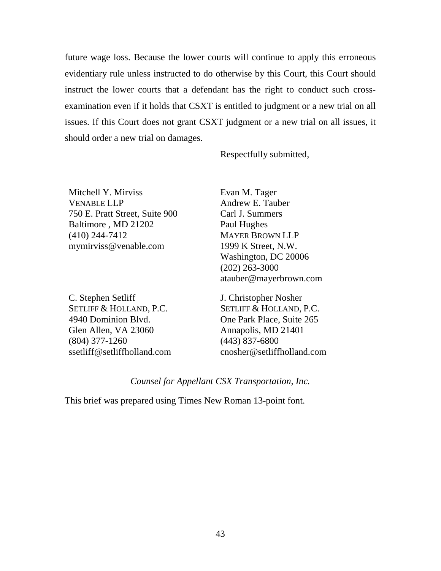future wage loss. Because the lower courts will continue to apply this erroneous evidentiary rule unless instructed to do otherwise by this Court, this Court should instruct the lower courts that a defendant has the right to conduct such crossexamination even if it holds that CSXT is entitled to judgment or a new trial on all issues. If this Court does not grant CSXT judgment or a new trial on all issues, it should order a new trial on damages.

Respectfully submitted,

Mitchell Y. Mirviss VENABLE LLP 750 E. Pratt Street, Suite 900 Baltimore , MD 21202 (410) 244-7412 mymirviss@venable.com

C. Stephen Setliff SETLIFF & HOLLAND, P.C. 4940 Dominion Blvd. Glen Allen, VA 23060 (804) 377-1260 ssetliff@setliffholland.com Evan M. Tager Andrew E. Tauber Carl J. Summers Paul Hughes MAYER BROWN LLP 1999 K Street, N.W. Washington, DC 20006 (202) 263-3000 atauber@mayerbrown.com

J. Christopher Nosher SETLIFF & HOLLAND, P.C. One Park Place, Suite 265 Annapolis, MD 21401 (443) 837-6800 cnosher@setliffholland.com

### *Counsel for Appellant CSX Transportation, Inc.*

This brief was prepared using Times New Roman 13-point font.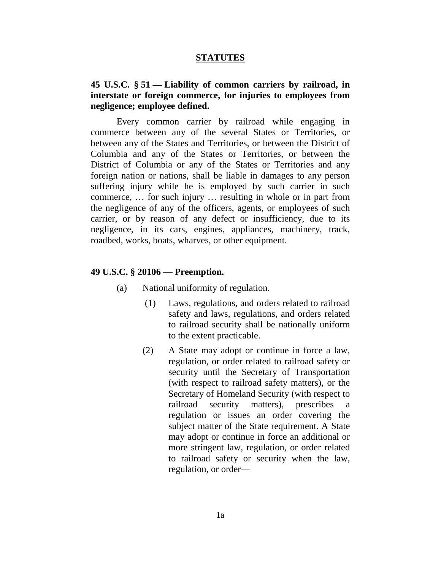#### **STATUTES**

## **45 U.S.C. § 51 — Liability of common carriers by railroad, in interstate or foreign commerce, for injuries to employees from negligence; employee defined.**

Every common carrier by railroad while engaging in commerce between any of the several States or Territories, or between any of the States and Territories, or between the District of Columbia and any of the States or Territories, or between the District of Columbia or any of the States or Territories and any foreign nation or nations, shall be liable in damages to any person suffering injury while he is employed by such carrier in such commerce, … for such injury … resulting in whole or in part from the negligence of any of the officers, agents, or employees of such carrier, or by reason of any defect or insufficiency, due to its negligence, in its cars, engines, appliances, machinery, track, roadbed, works, boats, wharves, or other equipment.

#### **49 U.S.C. § 20106 — Preemption.**

- (a) National uniformity of regulation.
	- (1) Laws, regulations, and orders related to railroad safety and laws, regulations, and orders related to railroad security shall be nationally uniform to the extent practicable.
	- (2) A State may adopt or continue in force a law, regulation, or order related to railroad safety or security until the Secretary of Transportation (with respect to railroad safety matters), or the Secretary of Homeland Security (with respect to railroad security matters), prescribes a regulation or issues an order covering the subject matter of the State requirement. A State may adopt or continue in force an additional or more stringent law, regulation, or order related to railroad safety or security when the law, regulation, or order—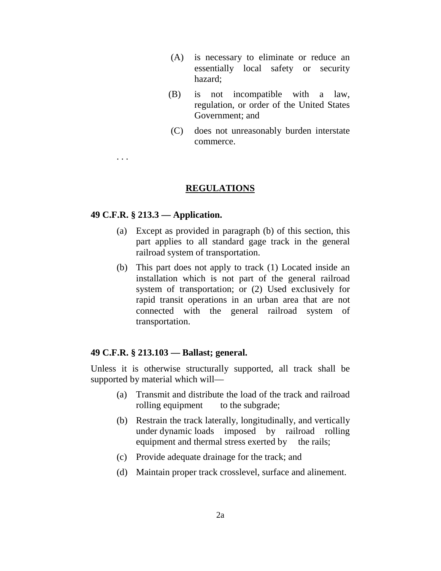- (A) is necessary to eliminate or reduce an essentially local safety or security hazard;
- (B) is not incompatible with a law, regulation, or order of the United States Government; and
- (C) does not unreasonably burden interstate commerce.

## **REGULATIONS**

#### **49 C.F.R. § 213.3 — Application.**

. . .

- (a) Except as provided in paragraph (b) of this section, this part applies to all standard gage track in the general railroad system of transportation.
- (b) This part does not apply to track (1) Located inside an installation which is not part of the general railroad system of transportation; or (2) Used exclusively for rapid transit operations in an urban area that are not connected with the general railroad system of transportation.

#### **49 C.F.R. § 213.103 — Ballast; general.**

Unless it is otherwise structurally supported, all track shall be supported by material which will—

- (a) Transmit and distribute the load of the track and railroad rolling equipment to the subgrade;
- (b) Restrain the track laterally, longitudinally, and vertically under dynamic loads imposed by railroad rolling equipment and thermal stress exerted by the rails;
- (c) Provide adequate drainage for the track; and
- (d) Maintain proper track crosslevel, surface and alinement.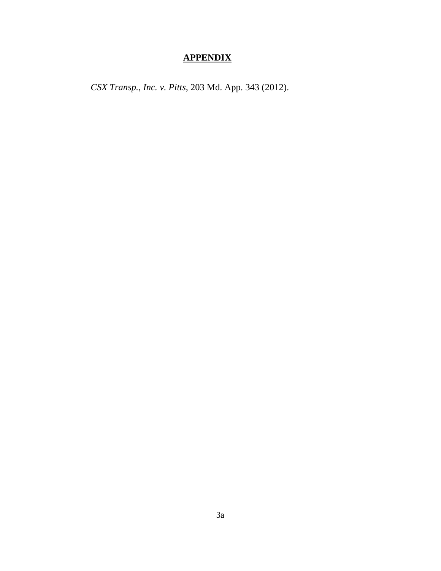# **APPENDIX**

*CSX Transp., Inc. v. Pitts*, 203 Md. App. 343 (2012).